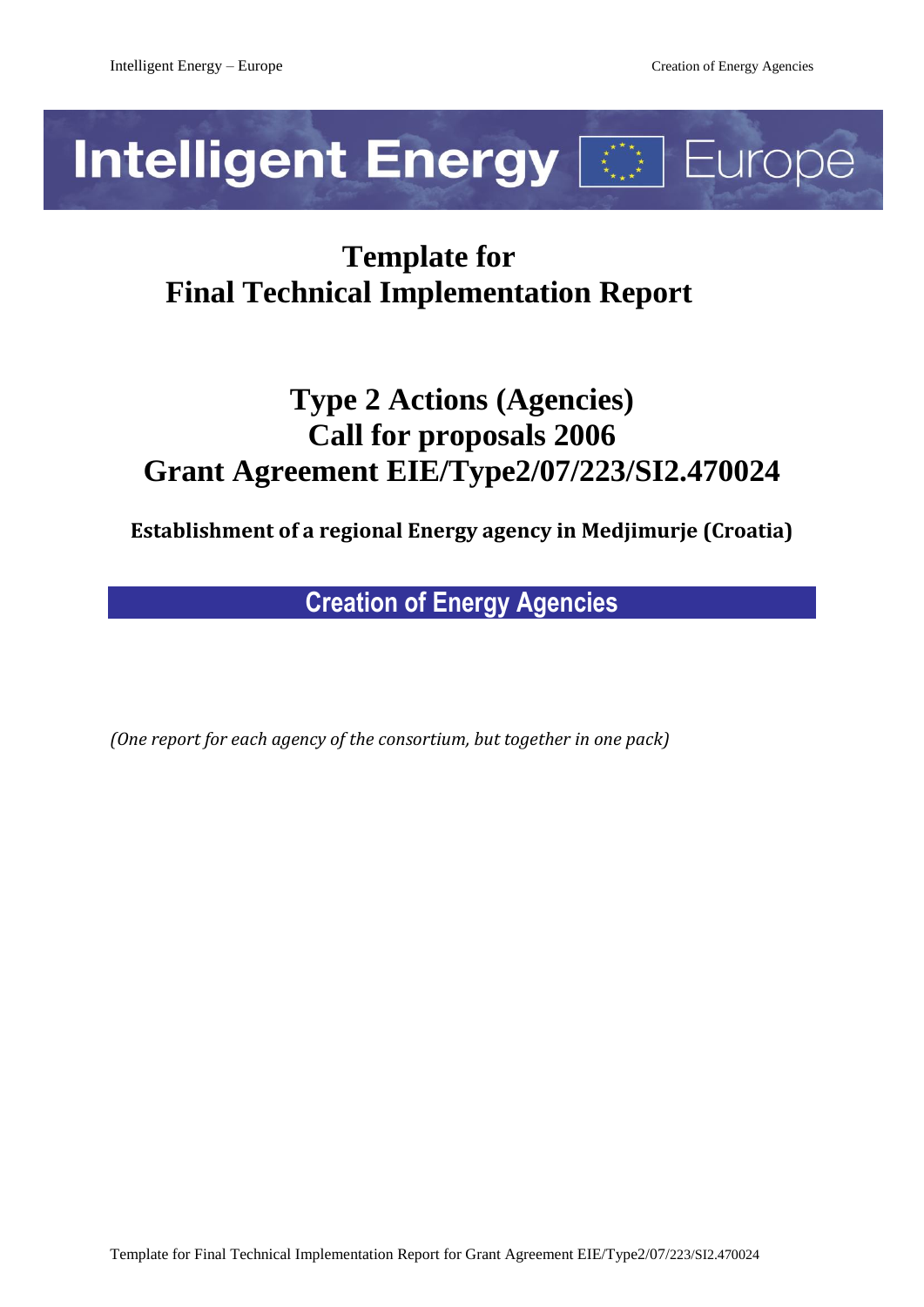

# **Template for Final Technical Implementation Report**

# **Type 2 Actions (Agencies) Call for proposals 2006 Grant Agreement EIE/Type2/07/223/SI2.470024**

**Establishment of a regional Energy agency in Medjimurje (Croatia)**

**Creation of Energy Agencies**

*(One report for each agency of the consortium, but together in one pack)*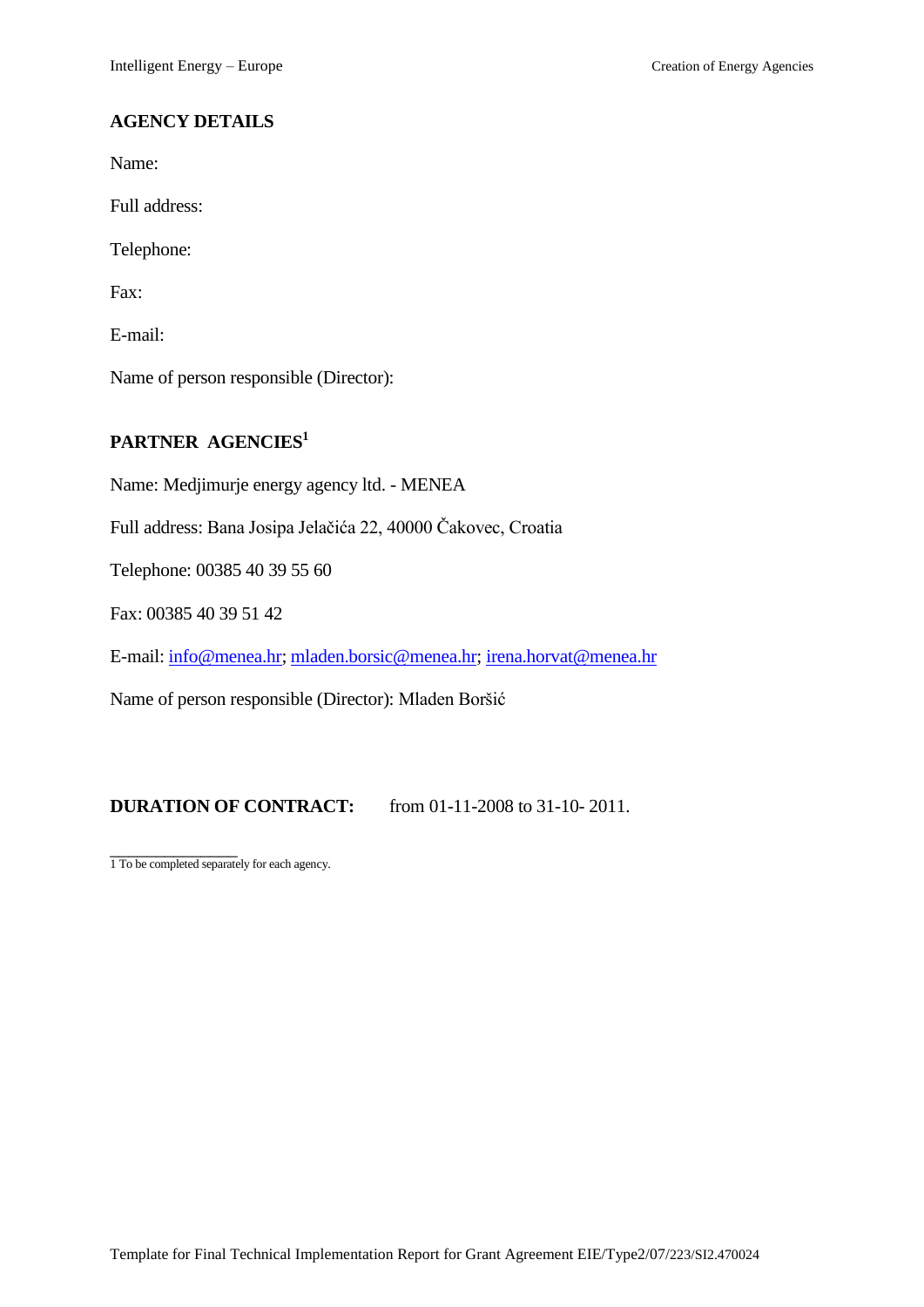# **AGENCY DETAILS**

Name:

Full address:

Telephone:

Fax:

E-mail:

Name of person responsible (Director):

# **PARTNER AGENCIES<sup>1</sup>**

Name: Medjimurje energy agency ltd. - MENEA

Full address: Bana Josipa Jelačića 22, 40000 Čakovec, Croatia

Telephone: 00385 40 39 55 60

Fax: 00385 40 39 51 42

E-mail: [info@menea.hr;](mailto:info@menea.hr) [mladen.borsic@menea.hr;](mailto:mladen.borsic@menea.hr) [irena.horvat@menea.hr](mailto:irena.horvat@menea.hr)

Name of person responsible (Director): Mladen Boršić

# **DURATION OF CONTRACT:** from 01-11-2008 to 31-10-2011.

1 To be completed separately for each agency.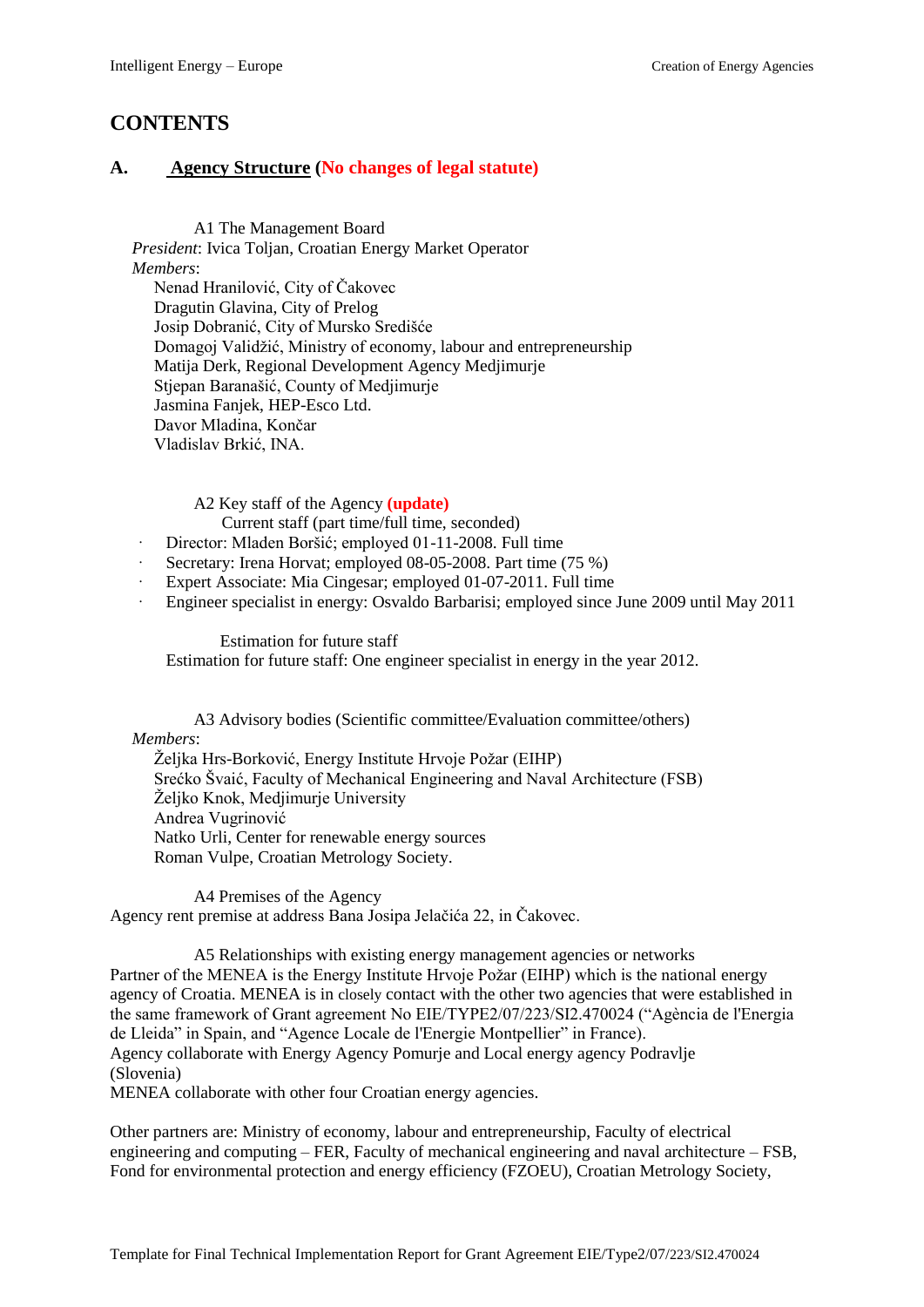# **CONTENTS**

# **A. Agency Structure (No changes of legal statute)**

A1 The Management Board *President*: Ivica Toljan, Croatian Energy Market Operator *Members*: Nenad Hranilović, City of Čakovec Dragutin Glavina, City of Prelog Josip Dobranić, City of Mursko Središće Domagoj Validžić, Ministry of economy, labour and entrepreneurship Matija Derk, Regional Development Agency Medjimurje Stjepan Baranašić, County of Medjimurje Jasmina Fanjek, HEP-Esco Ltd. Davor Mladina, Končar Vladislav Brkić, INA.

A2 Key staff of the Agency **(update)**

Current staff (part time/full time, seconded)

- · Director: Mladen Boršić; employed 01-11-2008. Full time
- Secretary: Irena Horvat; employed 08-05-2008. Part time (75 %)
- Expert Associate: Mia Cingesar; employed 01-07-2011. Full time
- · Engineer specialist in energy: Osvaldo Barbarisi; employed since June 2009 until May 2011

Estimation for future staff Estimation for future staff: One engineer specialist in energy in the year 2012.

A3 Advisory bodies (Scientific committee/Evaluation committee/others)

# *Members*:

Željka Hrs-Borković, Energy Institute Hrvoje Požar (EIHP) Srećko Švaić, Faculty of Mechanical Engineering and Naval Architecture (FSB) Željko Knok, Medjimurje University Andrea Vugrinović Natko Urli, Center for renewable energy sources Roman Vulpe, Croatian Metrology Society.

A4 Premises of the Agency Agency rent premise at address Bana Josipa Jelačića 22, in Čakovec.

A5 Relationships with existing energy management agencies or networks Partner of the MENEA is the Energy Institute Hrvoje Požar (EIHP) which is the national energy agency of Croatia. MENEA is in closely contact with the other two agencies that were established in the same framework of Grant agreement No EIE/TYPE2/07/223/SI2.470024 ("Agència de l'Energia de Lleida" in Spain, and "Agence Locale de l'Energie Montpellier" in France). Agency collaborate with Energy Agency Pomurje and Local energy agency Podravlje (Slovenia)

MENEA collaborate with other four Croatian energy agencies.

Other partners are: Ministry of economy, labour and entrepreneurship, Faculty of electrical engineering and computing – FER, Faculty of mechanical engineering and naval architecture – FSB, Fond for environmental protection and energy efficiency (FZOEU), Croatian Metrology Society,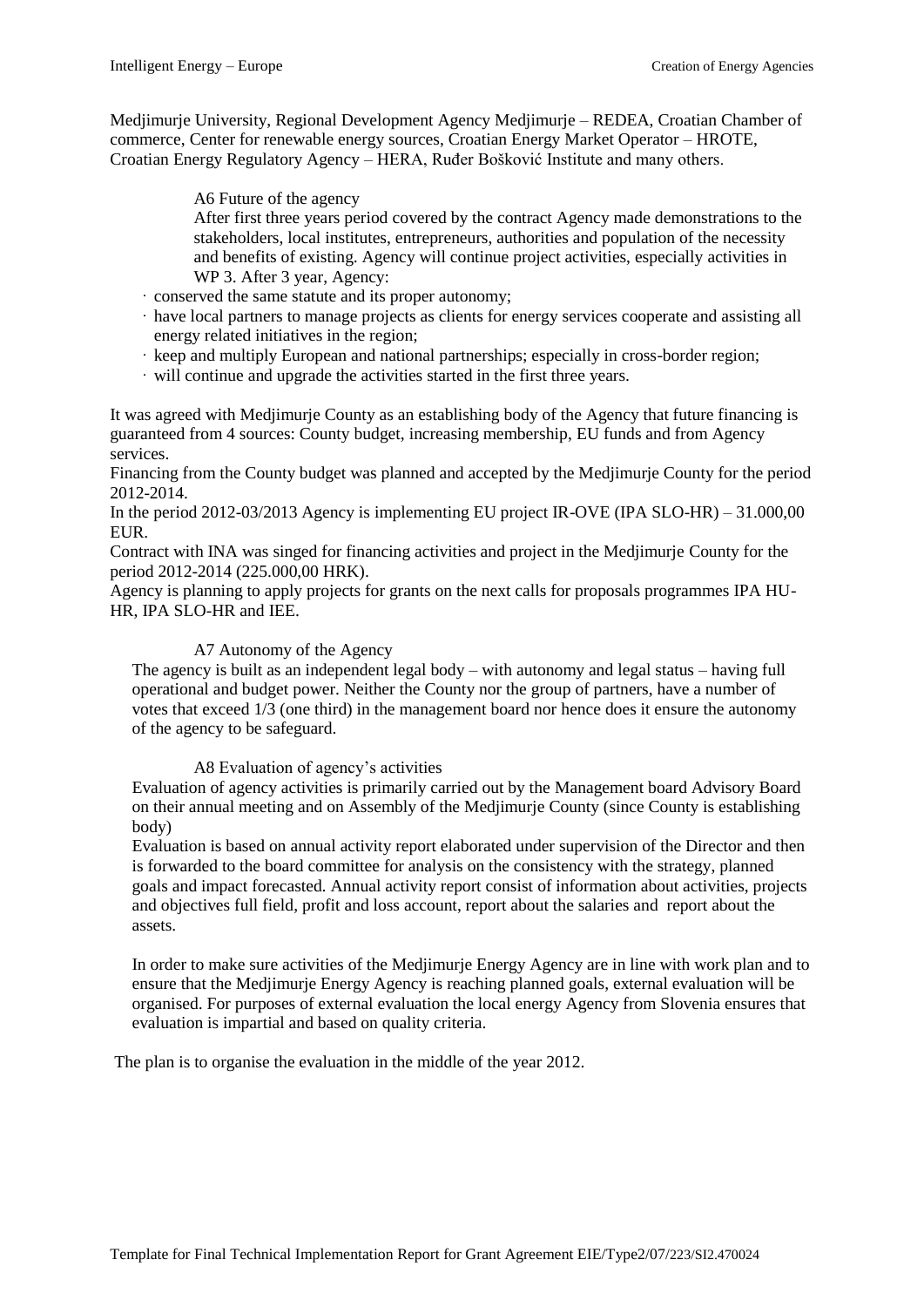Medjimurje University, Regional Development Agency Medjimurje – REDEA, Croatian Chamber of commerce, Center for renewable energy sources, Croatian Energy Market Operator – HROTE, Croatian Energy Regulatory Agency – HERA, Ruđer Bošković Institute and many others.

A6 Future of the agency

After first three years period covered by the contract Agency made demonstrations to the stakeholders, local institutes, entrepreneurs, authorities and population of the necessity and benefits of existing. Agency will continue project activities, especially activities in WP 3. After 3 year, Agency:

- · conserved the same statute and its proper autonomy;
- · have local partners to manage projects as clients for energy services cooperate and assisting all energy related initiatives in the region;
- · keep and multiply European and national partnerships; especially in cross-border region;
- · will continue and upgrade the activities started in the first three years.

It was agreed with Medjimurje County as an establishing body of the Agency that future financing is guaranteed from 4 sources: County budget, increasing membership, EU funds and from Agency services.

Financing from the County budget was planned and accepted by the Medjimurje County for the period 2012-2014.

In the period 2012-03/2013 Agency is implementing EU project IR-OVE (IPA SLO-HR) – 31.000,00 EUR.

Contract with INA was singed for financing activities and project in the Medjimurje County for the period 2012-2014 (225.000,00 HRK).

Agency is planning to apply projects for grants on the next calls for proposals programmes IPA HU-HR, IPA SLO-HR and IEE.

#### A7 Autonomy of the Agency

The agency is built as an independent legal body – with autonomy and legal status – having full operational and budget power. Neither the County nor the group of partners, have a number of votes that exceed 1/3 (one third) in the management board nor hence does it ensure the autonomy of the agency to be safeguard.

## A8 Evaluation of agency's activities

Evaluation of agency activities is primarily carried out by the Management board Advisory Board on their annual meeting and on Assembly of the Medjimurje County (since County is establishing body)

Evaluation is based on annual activity report elaborated under supervision of the Director and then is forwarded to the board committee for analysis on the consistency with the strategy, planned goals and impact forecasted. Annual activity report consist of information about activities, projects and objectives full field, profit and loss account, report about the salaries and report about the assets.

In order to make sure activities of the Medjimurje Energy Agency are in line with work plan and to ensure that the Medjimurje Energy Agency is reaching planned goals, external evaluation will be organised. For purposes of external evaluation the local energy Agency from Slovenia ensures that evaluation is impartial and based on quality criteria.

The plan is to organise the evaluation in the middle of the year 2012.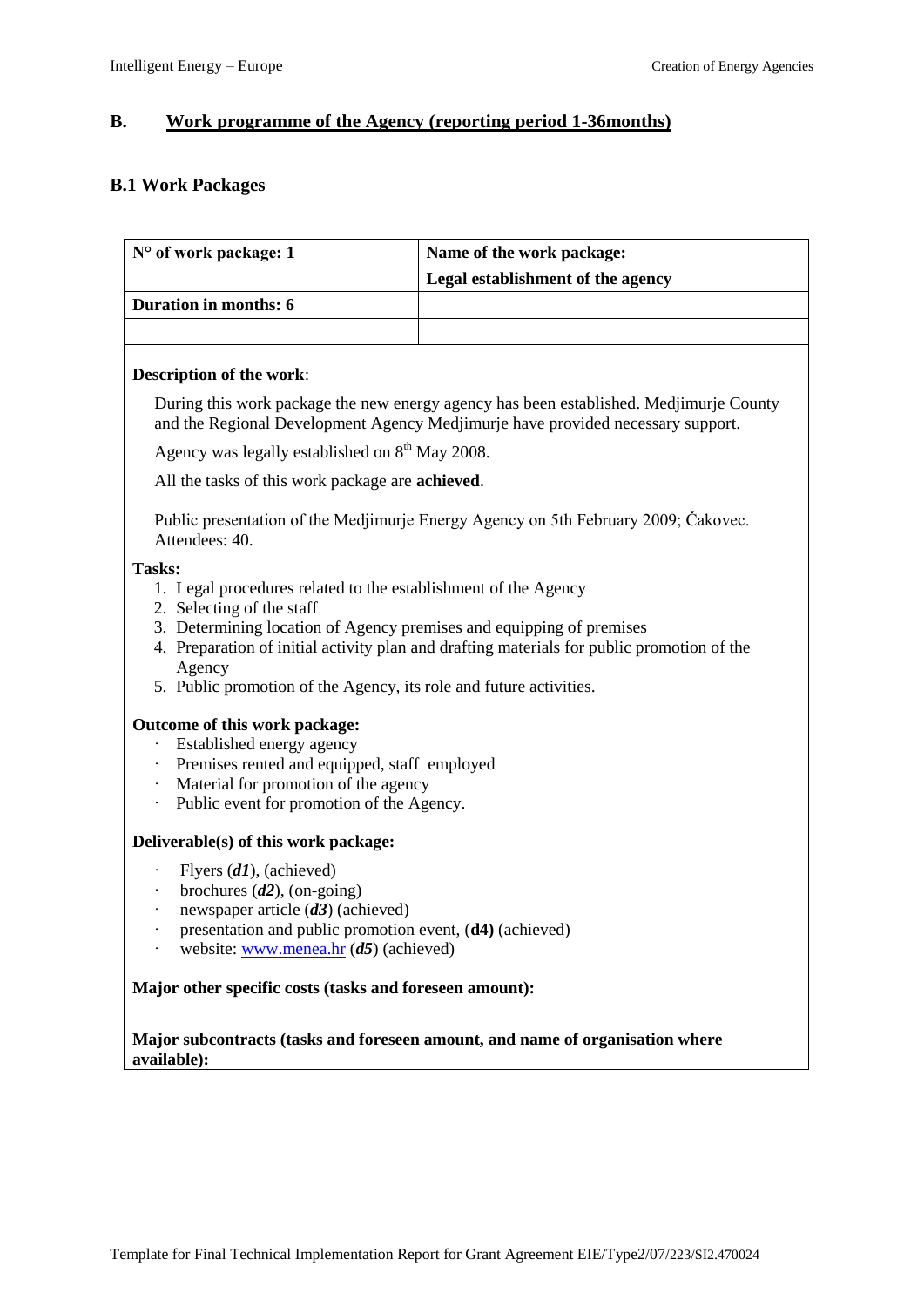# **B. Work programme of the Agency (reporting period 1-36months)**

# **B.1 Work Packages**

| N° of work package: 1                                                                                                                                                                                                                               | Name of the work package:                                                                                                                                                 |  |  |  |  |  |  |  |  |
|-----------------------------------------------------------------------------------------------------------------------------------------------------------------------------------------------------------------------------------------------------|---------------------------------------------------------------------------------------------------------------------------------------------------------------------------|--|--|--|--|--|--|--|--|
|                                                                                                                                                                                                                                                     | Legal establishment of the agency                                                                                                                                         |  |  |  |  |  |  |  |  |
| Duration in months: 6                                                                                                                                                                                                                               |                                                                                                                                                                           |  |  |  |  |  |  |  |  |
|                                                                                                                                                                                                                                                     |                                                                                                                                                                           |  |  |  |  |  |  |  |  |
| Description of the work:                                                                                                                                                                                                                            |                                                                                                                                                                           |  |  |  |  |  |  |  |  |
|                                                                                                                                                                                                                                                     | During this work package the new energy agency has been established. Medjimurje County<br>and the Regional Development Agency Medjimurje have provided necessary support. |  |  |  |  |  |  |  |  |
| Agency was legally established on 8 <sup>th</sup> May 2008.                                                                                                                                                                                         |                                                                                                                                                                           |  |  |  |  |  |  |  |  |
| All the tasks of this work package are <b>achieved</b> .                                                                                                                                                                                            |                                                                                                                                                                           |  |  |  |  |  |  |  |  |
| Attendees: 40.                                                                                                                                                                                                                                      | Public presentation of the Medjimurje Energy Agency on 5th February 2009; Čakovec.                                                                                        |  |  |  |  |  |  |  |  |
| 1. Legal procedures related to the establishment of the Agency<br>2. Selecting of the staff<br>3. Determining location of Agency premises and equipping of premises<br>Agency<br>5. Public promotion of the Agency, its role and future activities. | 4. Preparation of initial activity plan and drafting materials for public promotion of the                                                                                |  |  |  |  |  |  |  |  |
| Outcome of this work package:<br>Established energy agency<br>Premises rented and equipped, staff employed<br>Material for promotion of the agency<br>Public event for promotion of the Agency.                                                     |                                                                                                                                                                           |  |  |  |  |  |  |  |  |
| Deliverable(s) of this work package:                                                                                                                                                                                                                |                                                                                                                                                                           |  |  |  |  |  |  |  |  |
| Flyers $(dI)$ , (achieved)<br>brochures $(d2)$ , (on-going)<br>newspaper article $(d3)$ (achieved)<br>presentation and public promotion event, (d4) (achieved)<br>website: www.menea.hr $(d5)$ (achieved)                                           |                                                                                                                                                                           |  |  |  |  |  |  |  |  |
| Major other specific costs (tasks and foreseen amount):                                                                                                                                                                                             |                                                                                                                                                                           |  |  |  |  |  |  |  |  |
| available):                                                                                                                                                                                                                                         | Major subcontracts (tasks and foreseen amount, and name of organisation where                                                                                             |  |  |  |  |  |  |  |  |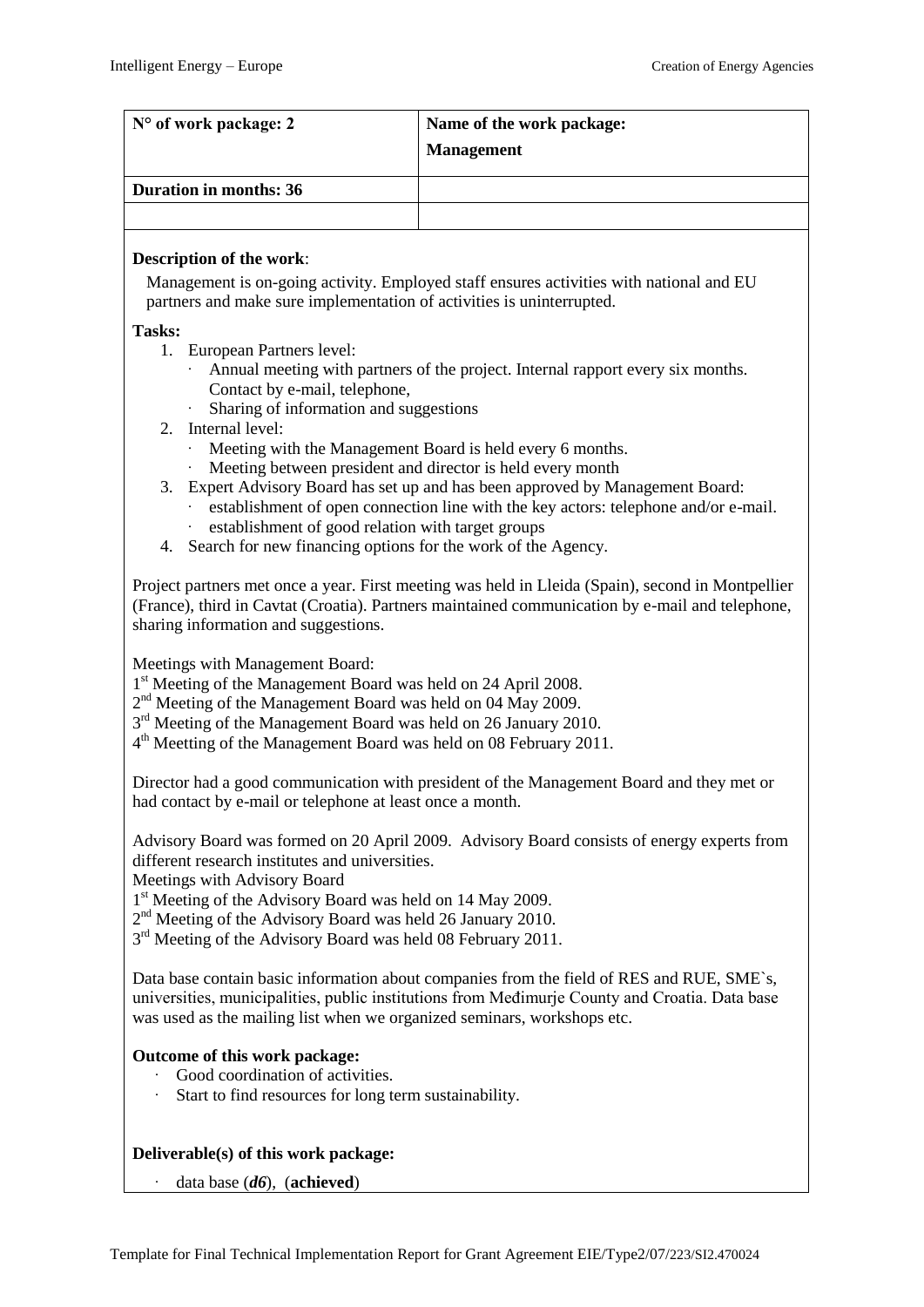| $\vert$ N° of work package: 2 | Name of the work package:<br><b>Management</b> |
|-------------------------------|------------------------------------------------|
| Duration in months: 36        |                                                |
|                               |                                                |

## **Description of the work**:

Management is on-going activity. Employed staff ensures activities with national and EU partners and make sure implementation of activities is uninterrupted.

# **Tasks:**

- 1. European Partners level:
	- Annual meeting with partners of the project. Internal rapport every six months. Contact by e-mail, telephone,
	- · Sharing of information and suggestions
- 2. Internal level:
	- Meeting with the Management Board is held every 6 months.
	- Meeting between president and director is held every month
- 3. Expert Advisory Board has set up and has been approved by Management Board: establishment of open connection line with the key actors: telephone and/or e-mail.
	- establishment of good relation with target groups
- 4. Search for new financing options for the work of the Agency.

Project partners met once a year. First meeting was held in Lleida (Spain), second in Montpellier (France), third in Cavtat (Croatia). Partners maintained communication by e-mail and telephone, sharing information and suggestions.

Meetings with Management Board:

1<sup>st</sup> Meeting of the Management Board was held on 24 April 2008.

2<sup>nd</sup> Meeting of the Management Board was held on 04 May 2009.

3<sup>rd</sup> Meeting of the Management Board was held on 26 January 2010.

4<sup>th</sup> Meetting of the Management Board was held on 08 February 2011.

Director had a good communication with president of the Management Board and they met or had contact by e-mail or telephone at least once a month.

Advisory Board was formed on 20 April 2009. Advisory Board consists of energy experts from different research institutes and universities.

Meetings with Advisory Board

1<sup>st</sup> Meeting of the Advisory Board was held on 14 May 2009.

2<sup>nd</sup> Meeting of the Advisory Board was held 26 January 2010.

3<sup>rd</sup> Meeting of the Advisory Board was held 08 February 2011.

Data base contain basic information about companies from the field of RES and RUE, SME`s, universities, municipalities, public institutions from Međimurje County and Croatia. Data base was used as the mailing list when we organized seminars, workshops etc.

# **Outcome of this work package:**

- Good coordination of activities.
- Start to find resources for long term sustainability.

# **Deliverable(s) of this work package:**

· data base (*d6*), (**achieved**)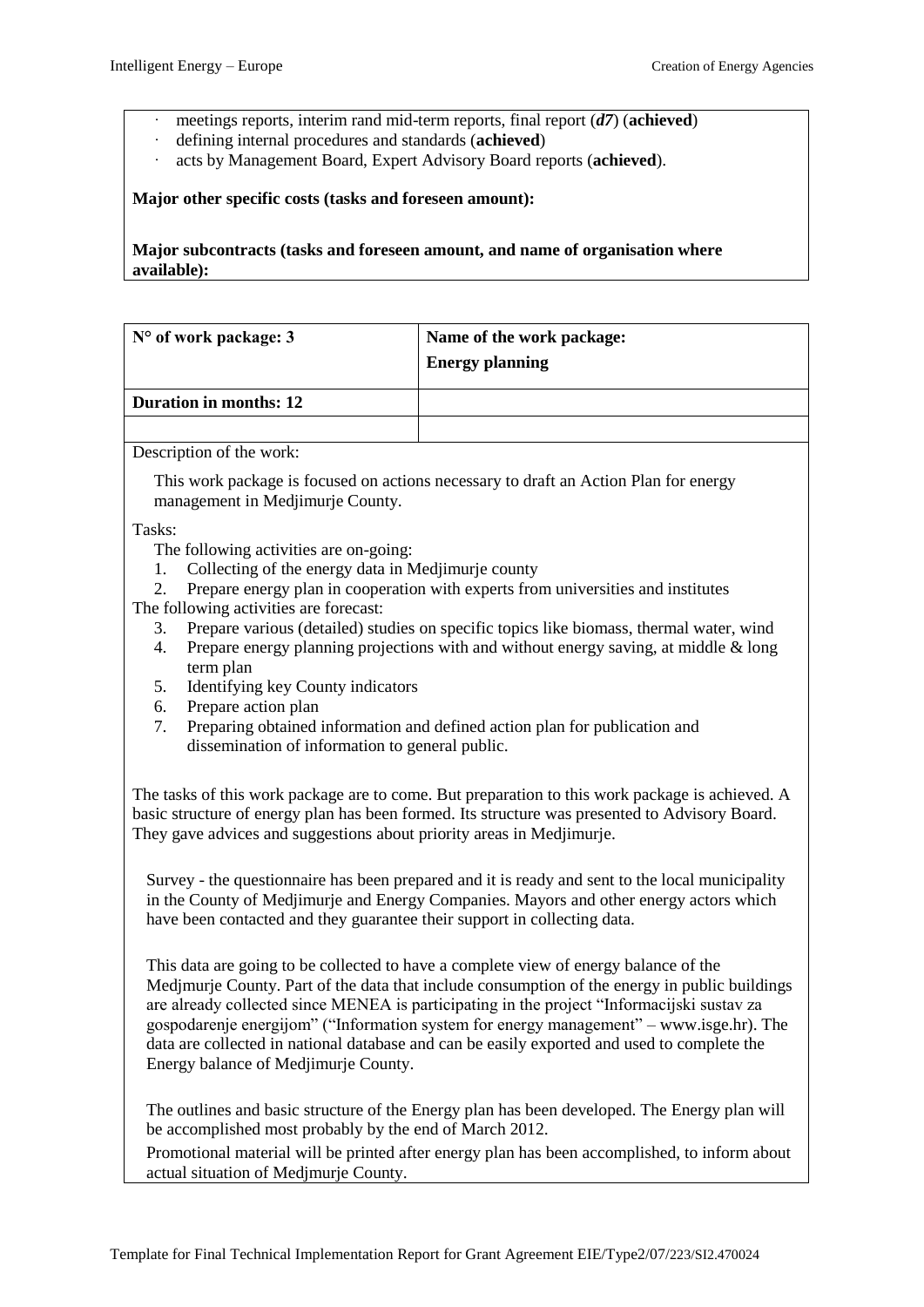- meetings reports, interim rand mid-term reports, final report (*d7*) (**achieved**)
- defining internal procedures and standards (**achieved**)
- · acts by Management Board, Expert Advisory Board reports (**achieved**).

#### **Major other specific costs (tasks and foreseen amount):**

**Major subcontracts (tasks and foreseen amount, and name of organisation where available):**

| $\vert$ N° of work package: 3 | Name of the work package:<br><b>Energy planning</b> |
|-------------------------------|-----------------------------------------------------|
| Duration in months: 12        |                                                     |
|                               |                                                     |
| Necessian of the messine      |                                                     |

Description of the work:

This work package is focused on actions necessary to draft an Action Plan for energy management in Medjimurje County.

Tasks:

The following activities are on-going:

- 1. Collecting of the energy data in Medjimurje county
- 2. Prepare energy plan in cooperation with experts from universities and institutes The following activities are forecast:
	- 3. Prepare various (detailed) studies on specific topics like biomass, thermal water, wind
	- 4. Prepare energy planning projections with and without energy saving, at middle & long term plan
	- 5. Identifying key County indicators
	- 6. Prepare action plan
	- 7. Preparing obtained information and defined action plan for publication and dissemination of information to general public.

The tasks of this work package are to come. But preparation to this work package is achieved. A basic structure of energy plan has been formed. Its structure was presented to Advisory Board. They gave advices and suggestions about priority areas in Medjimurje.

Survey - the questionnaire has been prepared and it is ready and sent to the local municipality in the County of Medjimurje and Energy Companies. Mayors and other energy actors which have been contacted and they guarantee their support in collecting data.

This data are going to be collected to have a complete view of energy balance of the Medjmurje County. Part of the data that include consumption of the energy in public buildings are already collected since MENEA is participating in the project "Informacijski sustav za gospodarenje energijom" ("Information system for energy management" – www.isge.hr). The data are collected in national database and can be easily exported and used to complete the Energy balance of Medjimurje County.

The outlines and basic structure of the Energy plan has been developed. The Energy plan will be accomplished most probably by the end of March 2012.

Promotional material will be printed after energy plan has been accomplished, to inform about actual situation of Medjmurje County.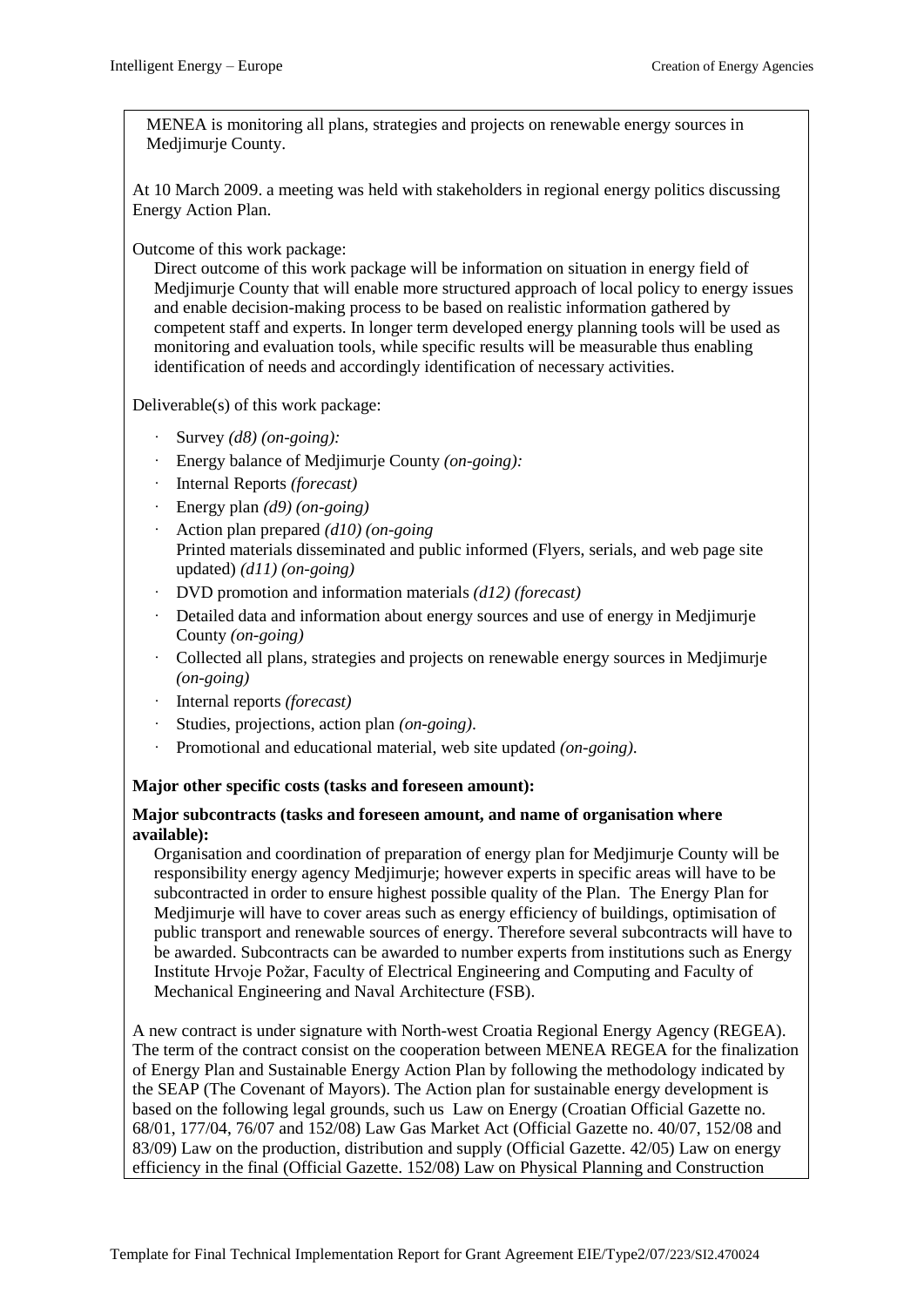MENEA is monitoring all plans, strategies and projects on renewable energy sources in Medjimurje County.

At 10 March 2009. a meeting was held with stakeholders in regional energy politics discussing Energy Action Plan.

Outcome of this work package:

Direct outcome of this work package will be information on situation in energy field of Medjimurje County that will enable more structured approach of local policy to energy issues and enable decision-making process to be based on realistic information gathered by competent staff and experts. In longer term developed energy planning tools will be used as monitoring and evaluation tools, while specific results will be measurable thus enabling identification of needs and accordingly identification of necessary activities.

Deliverable(s) of this work package:

- · Survey *(d8) (on-going):*
- · Energy balance of Medjimurje County *(on-going):*
- · Internal Reports *(forecast)*
- · Energy plan *(d9) (on-going)*
- · Action plan prepared *(d10) (on-going* Printed materials disseminated and public informed (Flyers, serials, and web page site updated) *(d11) (on-going)*
- · DVD promotion and information materials *(d12) (forecast)*
- · Detailed data and information about energy sources and use of energy in Medjimurje County *(on-going)*
- · Collected all plans, strategies and projects on renewable energy sources in Medjimurje *(on-going)*
- · Internal reports *(forecast)*
- · Studies, projections, action plan *(on-going)*.
- · Promotional and educational material, web site updated *(on-going)*.

## **Major other specific costs (tasks and foreseen amount):**

# **Major subcontracts (tasks and foreseen amount, and name of organisation where available):**

Organisation and coordination of preparation of energy plan for Medjimurje County will be responsibility energy agency Medjimurje; however experts in specific areas will have to be subcontracted in order to ensure highest possible quality of the Plan. The Energy Plan for Medjimurje will have to cover areas such as energy efficiency of buildings, optimisation of public transport and renewable sources of energy. Therefore several subcontracts will have to be awarded. Subcontracts can be awarded to number experts from institutions such as Energy Institute Hrvoje Požar, Faculty of Electrical Engineering and Computing and Faculty of Mechanical Engineering and Naval Architecture (FSB).

A new contract is under signature with North-west Croatia Regional Energy Agency (REGEA). The term of the contract consist on the cooperation between MENEA REGEA for the finalization of Energy Plan and Sustainable Energy Action Plan by following the methodology indicated by the SEAP (The Covenant of Mayors). The Action plan for sustainable energy development is based on the following legal grounds, such us Law on Energy (Croatian Official Gazette no. 68/01, 177/04, 76/07 and 152/08) Law Gas Market Act (Official Gazette no. 40/07, 152/08 and 83/09) Law on the production, distribution and supply (Official Gazette. 42/05) Law on energy efficiency in the final (Official Gazette. 152/08) Law on Physical Planning and Construction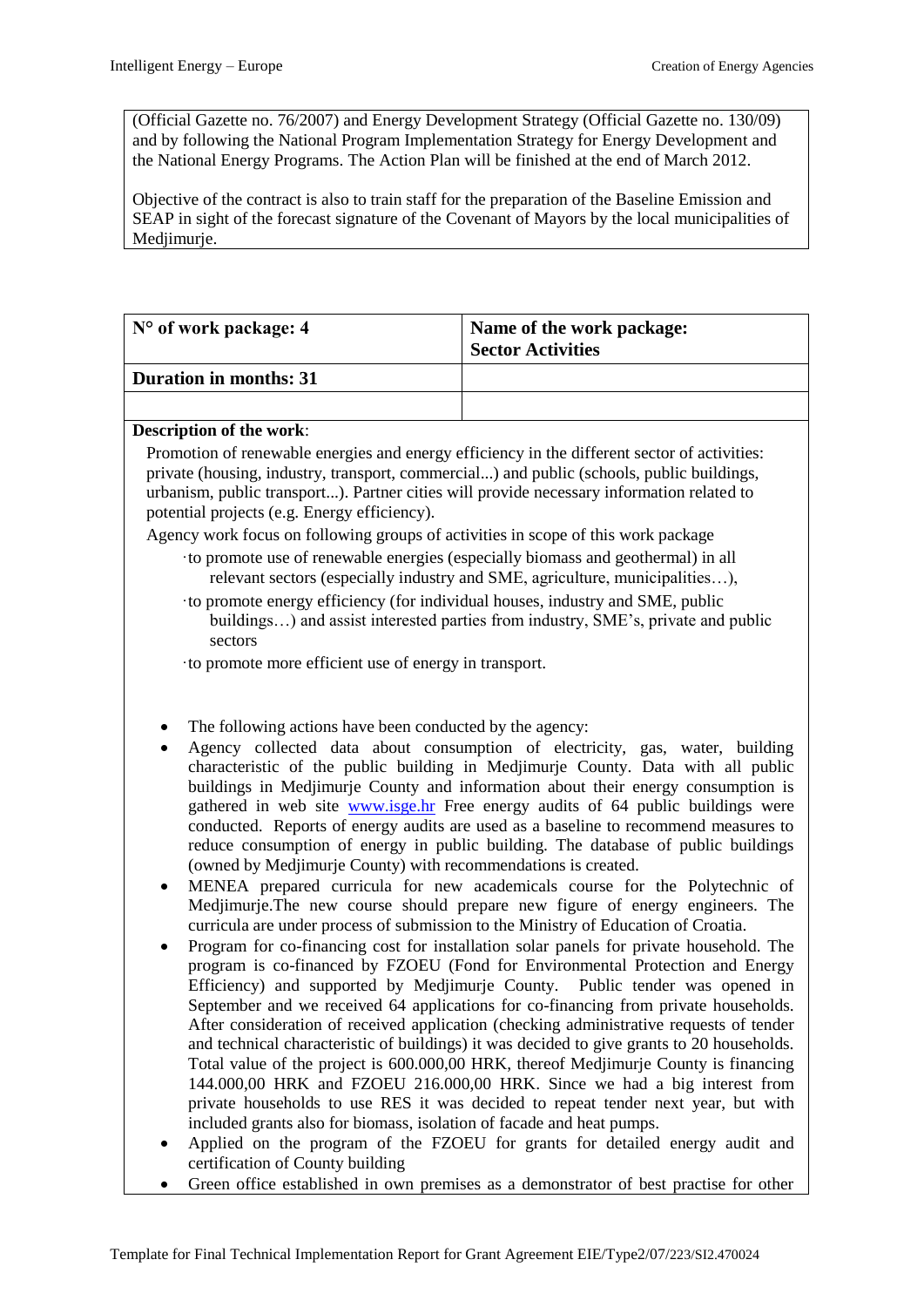(Official Gazette no. 76/2007) and Energy Development Strategy (Official Gazette no. 130/09) and by following the National Program Implementation Strategy for Energy Development and the National Energy Programs. The Action Plan will be finished at the end of March 2012.

Objective of the contract is also to train staff for the preparation of the Baseline Emission and SEAP in sight of the forecast signature of the Covenant of Mayors by the local municipalities of Medjimurje.

| $\vert$ N° of work package: 4 | Name of the work package:<br><sup>1</sup> Sector Activities |
|-------------------------------|-------------------------------------------------------------|
| Duration in months: 31        |                                                             |
|                               |                                                             |

# **Description of the work**:

Promotion of renewable energies and energy efficiency in the different sector of activities: private (housing, industry, transport, commercial...) and public (schools, public buildings, urbanism, public transport...). Partner cities will provide necessary information related to potential projects (e.g. Energy efficiency).

Agency work focus on following groups of activities in scope of this work package

- ·to promote use of renewable energies (especially biomass and geothermal) in all relevant sectors (especially industry and SME, agriculture, municipalities…),
- ·to promote energy efficiency (for individual houses, industry and SME, public buildings…) and assist interested parties from industry, SME's, private and public sectors

·to promote more efficient use of energy in transport.

- The following actions have been conducted by the agency:
- Agency collected data about consumption of electricity, gas, water, building characteristic of the public building in Medjimurje County. Data with all public buildings in Medjimurje County and information about their energy consumption is gathered in web site [www.isge.hr](http://www.isge.hr/) Free energy audits of 64 public buildings were conducted. Reports of energy audits are used as a baseline to recommend measures to reduce consumption of energy in public building. The database of public buildings (owned by Medjimurje County) with recommendations is created.
- MENEA prepared curricula for new academicals course for the Polytechnic of Medjimurje.The new course should prepare new figure of energy engineers. The curricula are under process of submission to the Ministry of Education of Croatia.
- Program for co-financing cost for installation solar panels for private household. The program is co-financed by FZOEU (Fond for Environmental Protection and Energy Efficiency) and supported by Medjimurje County. Public tender was opened in September and we received 64 applications for co-financing from private households. After consideration of received application (checking administrative requests of tender and technical characteristic of buildings) it was decided to give grants to 20 households. Total value of the project is 600.000,00 HRK, thereof Medjimurje County is financing 144.000,00 HRK and FZOEU 216.000,00 HRK. Since we had a big interest from private households to use RES it was decided to repeat tender next year, but with included grants also for biomass, isolation of facade and heat pumps.
- Applied on the program of the FZOEU for grants for detailed energy audit and certification of County building
- Green office established in own premises as a demonstrator of best practise for other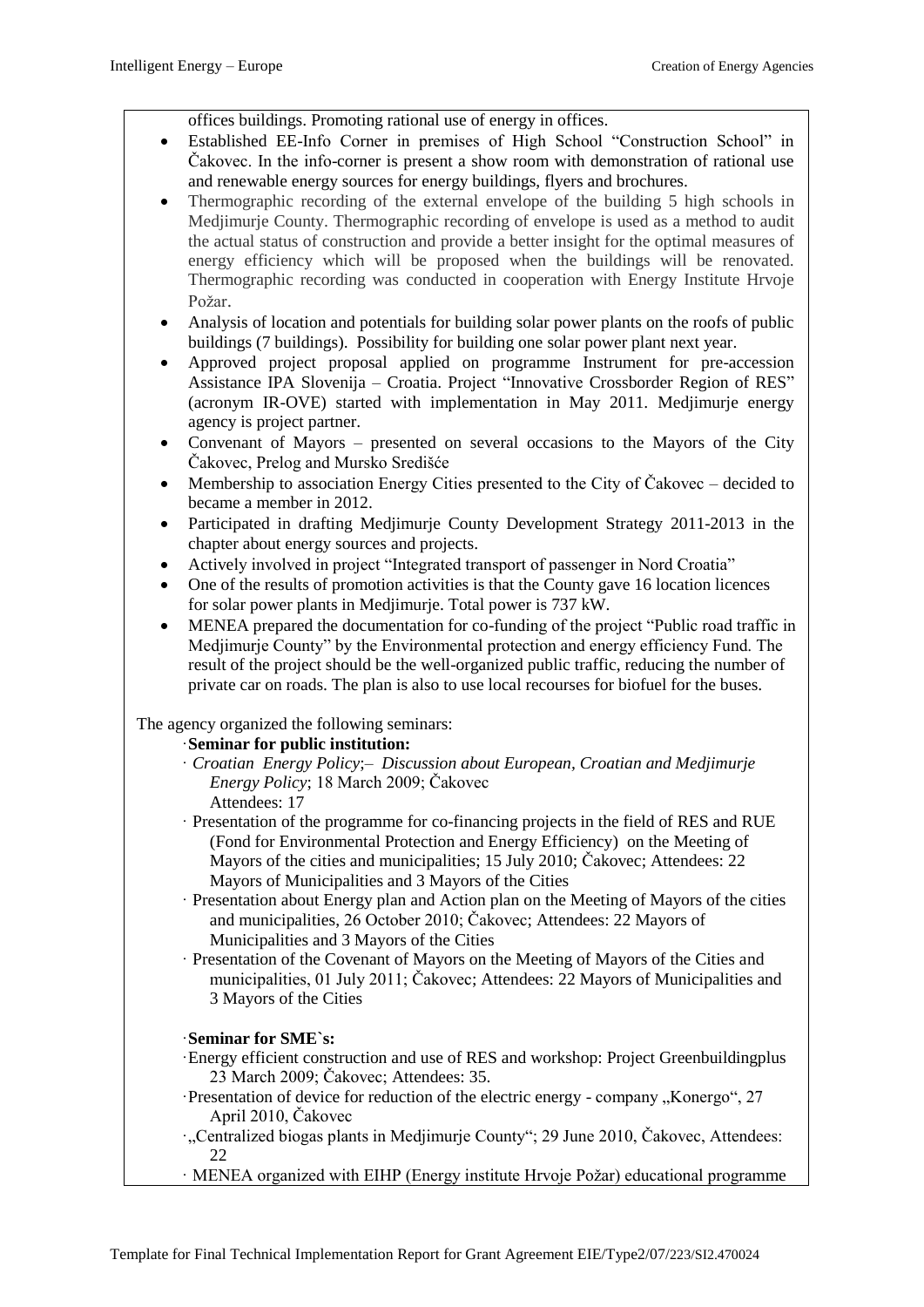offices buildings. Promoting rational use of energy in offices.

- Established EE-Info Corner in premises of High School "Construction School" in Čakovec. In the info-corner is present a show room with demonstration of rational use and renewable energy sources for energy buildings, flyers and brochures.
- Thermographic recording of the external envelope of the building 5 high schools in Medjimurje County. Thermographic recording of envelope is used as a method to audit the actual status of construction and provide a better insight for the optimal measures of energy efficiency which will be proposed when the buildings will be renovated. Thermographic recording was conducted in cooperation with Energy Institute Hrvoje Požar.
- Analysis of location and potentials for building solar power plants on the roofs of public buildings (7 buildings). Possibility for building one solar power plant next year.
- Approved project proposal applied on programme Instrument for pre-accession Assistance IPA Slovenija – Croatia. Project "Innovative Crossborder Region of RES" (acronym IR-OVE) started with implementation in May 2011. Medjimurje energy agency is project partner.
- Convenant of Mayors presented on several occasions to the Mayors of the City Čakovec, Prelog and Mursko Središće
- Membership to association Energy Cities presented to the City of Čakovec decided to became a member in 2012.
- Participated in drafting Medjimurje County Development Strategy 2011-2013 in the chapter about energy sources and projects.
- Actively involved in project "Integrated transport of passenger in Nord Croatia"
- One of the results of promotion activities is that the County gave 16 location licences for solar power plants in Medjimurje. Total power is 737 kW.
- MENEA prepared the documentation for co-funding of the project "Public road traffic in Medjimurje County" by the Environmental protection and energy efficiency Fund. The result of the project should be the well-organized public traffic, reducing the number of private car on roads. The plan is also to use local recourses for biofuel for the buses.

# The agency organized the following seminars:

# ·**Seminar for public institution:**

- · *Croatian Energy Policy*;– *Discussion about European, Croatian and Medjimurje Energy Policy*; 18 March 2009; Čakovec Attendees: 17
- · Presentation of the programme for co-financing projects in the field of RES and RUE (Fond for Environmental Protection and Energy Efficiency) on the Meeting of Mayors of the cities and municipalities; 15 July 2010; Čakovec; Attendees: 22 Mayors of Municipalities and 3 Mayors of the Cities
- · Presentation about Energy plan and Action plan on the Meeting of Mayors of the cities and municipalities, 26 October 2010; Čakovec; Attendees: 22 Mayors of Municipalities and 3 Mayors of the Cities
- · Presentation of the Covenant of Mayors on the Meeting of Mayors of the Cities and municipalities, 01 July 2011; Čakovec; Attendees: 22 Mayors of Municipalities and 3 Mayors of the Cities

# ·**Seminar for SME`s:**

- ·Energy efficient construction and use of RES and workshop: Project Greenbuildingplus 23 March 2009; Čakovec; Attendees: 35.
- ·Presentation of device for reduction of the electric energy company "Konergo", 27 April 2010, Čakovec
- ·"Centralized biogas plants in Medjimurje County"; 29 June 2010, Čakovec, Attendees: 22
- · MENEA organized with EIHP (Energy institute Hrvoje Požar) educational programme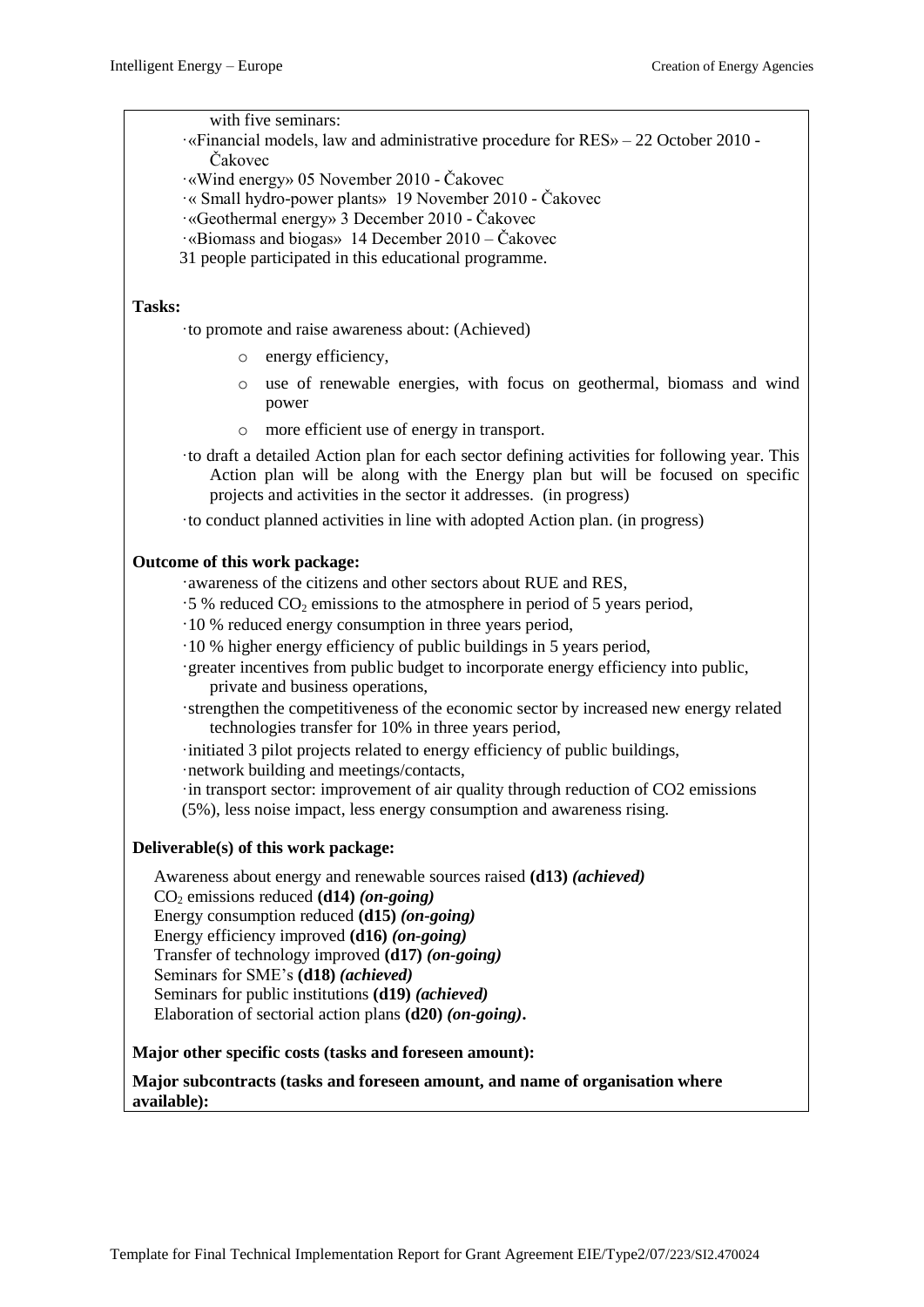with five seminars:

- ·«Financial models, law and administrative procedure for RES» 22 October 2010 Čakovec
- ·«Wind energy» 05 November 2010 Čakovec
- ·« Small hydro-power plants» 19 November 2010 Čakovec
- ·«Geothermal energy» 3 December 2010 Čakovec
- ·«Biomass and biogas» 14 December 2010 Čakovec
- 31 people participated in this educational programme.

#### **Tasks:**

·to promote and raise awareness about: (Achieved)

- o energy efficiency,
- o use of renewable energies, with focus on geothermal, biomass and wind power
- o more efficient use of energy in transport.
- ·to draft a detailed Action plan for each sector defining activities for following year. This Action plan will be along with the Energy plan but will be focused on specific projects and activities in the sector it addresses. (in progress)
- ·to conduct planned activities in line with adopted Action plan. (in progress)

## **Outcome of this work package:**

·awareness of the citizens and other sectors about RUE and RES,

- $\cdot$  5 % reduced CO<sub>2</sub> emissions to the atmosphere in period of 5 years period,
- ·10 % reduced energy consumption in three years period,
- ·10 % higher energy efficiency of public buildings in 5 years period,
- ·greater incentives from public budget to incorporate energy efficiency into public, private and business operations,
- ·strengthen the competitiveness of the economic sector by increased new energy related technologies transfer for 10% in three years period,
- ·initiated 3 pilot projects related to energy efficiency of public buildings,
- ·network building and meetings/contacts,
- ·in transport sector: improvement of air quality through reduction of CO2 emissions (5%), less noise impact, less energy consumption and awareness rising.

## **Deliverable(s) of this work package:**

Awareness about energy and renewable sources raised **(d13)** *(achieved)* CO<sup>2</sup> emissions reduced **(d14)** *(on-going)* Energy consumption reduced **(d15)** *(on-going)* Energy efficiency improved **(d16)** *(on-going)* Transfer of technology improved **(d17)** *(on-going)* Seminars for SME's **(d18)** *(achieved)* Seminars for public institutions **(d19)** *(achieved)* Elaboration of sectorial action plans **(d20)** *(on-going)***.**

# **Major other specific costs (tasks and foreseen amount):**

**Major subcontracts (tasks and foreseen amount, and name of organisation where available):**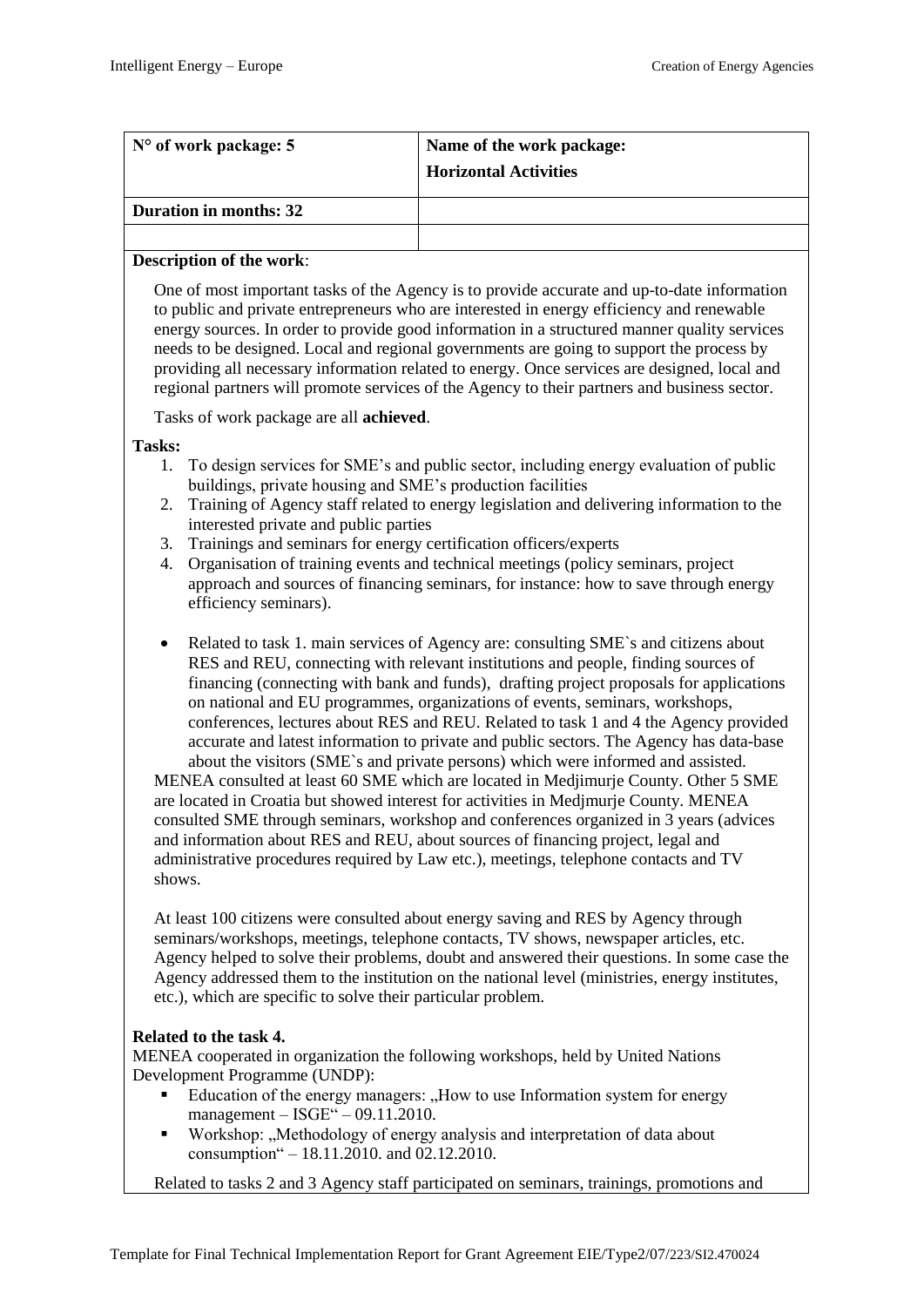| $\vert$ N° of work package: 5 | Name of the work package:<br><b>Horizontal Activities</b> |
|-------------------------------|-----------------------------------------------------------|
| Duration in months: 32        |                                                           |
|                               |                                                           |

## **Description of the work**:

One of most important tasks of the Agency is to provide accurate and up-to-date information to public and private entrepreneurs who are interested in energy efficiency and renewable energy sources. In order to provide good information in a structured manner quality services needs to be designed. Local and regional governments are going to support the process by providing all necessary information related to energy. Once services are designed, local and regional partners will promote services of the Agency to their partners and business sector.

Tasks of work package are all **achieved**.

# **Tasks:**

- 1. To design services for SME's and public sector, including energy evaluation of public buildings, private housing and SME's production facilities
- 2. Training of Agency staff related to energy legislation and delivering information to the interested private and public parties
- 3. Trainings and seminars for energy certification officers/experts
- 4. Organisation of training events and technical meetings (policy seminars, project approach and sources of financing seminars, for instance: how to save through energy efficiency seminars).
- Related to task 1. main services of Agency are: consulting SME`s and citizens about RES and REU, connecting with relevant institutions and people, finding sources of financing (connecting with bank and funds), drafting project proposals for applications on national and EU programmes, organizations of events, seminars, workshops, conferences, lectures about RES and REU. Related to task 1 and 4 the Agency provided accurate and latest information to private and public sectors. The Agency has data-base about the visitors (SME`s and private persons) which were informed and assisted.

MENEA consulted at least 60 SME which are located in Medjimurje County. Other 5 SME are located in Croatia but showed interest for activities in Medjmurje County. MENEA consulted SME through seminars, workshop and conferences organized in 3 years (advices and information about RES and REU, about sources of financing project, legal and administrative procedures required by Law etc.), meetings, telephone contacts and TV shows.

At least 100 citizens were consulted about energy saving and RES by Agency through seminars/workshops, meetings, telephone contacts, TV shows, newspaper articles, etc. Agency helped to solve their problems, doubt and answered their questions. In some case the Agency addressed them to the institution on the national level (ministries, energy institutes, etc.), which are specific to solve their particular problem.

# **Related to the task 4.**

MENEA cooperated in organization the following workshops, held by United Nations Development Programme (UNDP):

- Education of the energy managers: "How to use Information system for energy management – ISGE" – 09.11.2010.
- Workshop: "Methodology of energy analysis and interpretation of data about consumption" – 18.11.2010. and 02.12.2010.

Related to tasks 2 and 3 Agency staff participated on seminars, trainings, promotions and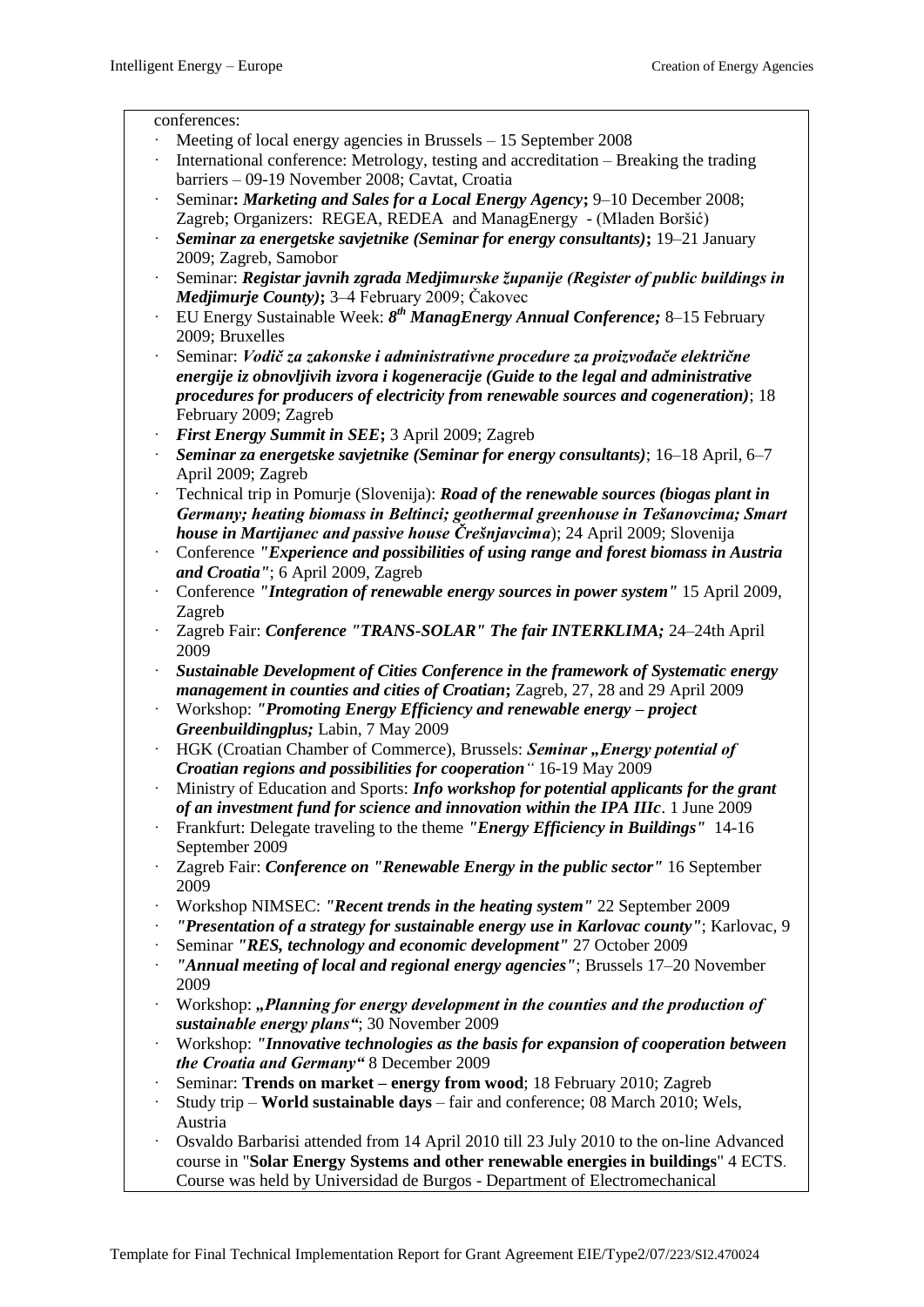conferences:

- Meeting of local energy agencies in Brussels  $-15$  September 2008
- International conference: Metrology, testing and accreditation Breaking the trading barriers – 09-19 November 2008; Cavtat, Croatia
- · Seminar**:** *Marketing and Sales for a Local Energy Agency***;** 9–10 December 2008; Zagreb; Organizers: REGEA, REDEA and ManagEnergy - (Mladen Boršić)
- · *Seminar za energetske savjetnike (Seminar for energy consultants)***;** 19–21 January 2009; Zagreb, Samobor
- · Seminar: *Registar javnih zgrada Medjimurske županije (Register of public buildings in Medjimurje County)***;** 3–4 February 2009; Čakovec
- · EU Energy Sustainable Week: *8 th ManagEnergy Annual Conference;* 8–15 February 2009; Bruxelles
- · Seminar: *Vodič za zakonske i administrativne procedure za proizvođače električne energije iz obnovljivih izvora i kogeneracije (Guide to the legal and administrative procedures for producers of electricity from renewable sources and cogeneration)*; 18 February 2009; Zagreb
- · *First Energy Summit in SEE***;** 3 April 2009; Zagreb
- · *Seminar za energetske savjetnike (Seminar for energy consultants)*; 16–18 April, 6–7 April 2009; Zagreb
- · Technical trip in Pomurje (Slovenija): *Road of the renewable sources (biogas plant in Germany; heating biomass in Beltinci; geothermal greenhouse in Tešanovcima; Smart house in Martijanec and passive house Črešnjavcima*); 24 April 2009; Slovenija
- · Conference *"Experience and possibilities of using range and forest biomass in Austria and Croatia"*; 6 April 2009, Zagreb
- · Conference *"Integration of renewable energy sources in power system"* 15 April 2009, Zagreb
- · Zagreb Fair: *Conference "TRANS-SOLAR" The fair INTERKLIMA;* 24–24th April 2009
- · *Sustainable Development of Cities Conference in the framework of Systematic energy management in counties and cities of Croatian***;** Zagreb, 27, 28 and 29 April 2009
- · Workshop: *"Promoting Energy Efficiency and renewable energy – project Greenbuildingplus;* Labin, 7 May 2009
- HGK (Croatian Chamber of Commerce), Brussels: *Seminar* "*Energy potential of Croatian regions and possibilities for cooperation"* 16-19 May 2009
- · Ministry of Education and Sports: *Info workshop for potential applicants for the grant of an investment fund for science and innovation within the IPA IIIc*. 1 June 2009
- · Frankfurt: Delegate traveling to the theme *"Energy Efficiency in Buildings"* 14-16 September 2009
- · Zagreb Fair: *Conference on "Renewable Energy in the public sector"* 16 September 2009
- · Workshop NIMSEC: *"Recent trends in the heating system"* 22 September 2009
- · *"Presentation of a strategy for sustainable energy use in Karlovac county"*; Karlovac, 9
- · Seminar *"RES, technology and economic development"* 27 October 2009
- · *"Annual meeting of local and regional energy agencies"*; Brussels 17–20 November 2009
- · Workshop: *"Planning for energy development in the counties and the production of sustainable energy plans"*; 30 November 2009
- · Workshop: *"Innovative technologies as the basis for expansion of cooperation between the Croatia and Germany"* 8 December 2009
- · Seminar: **Trends on market – energy from wood**; 18 February 2010; Zagreb
- · Study trip **World sustainable days** fair and conference; 08 March 2010; Wels, Austria
- · Osvaldo Barbarisi attended from 14 April 2010 till 23 July 2010 to the on-line Advanced course in "**Solar Energy Systems and other renewable energies in buildings**" 4 ECTS. Course was held by Universidad de Burgos - Department of Electromechanical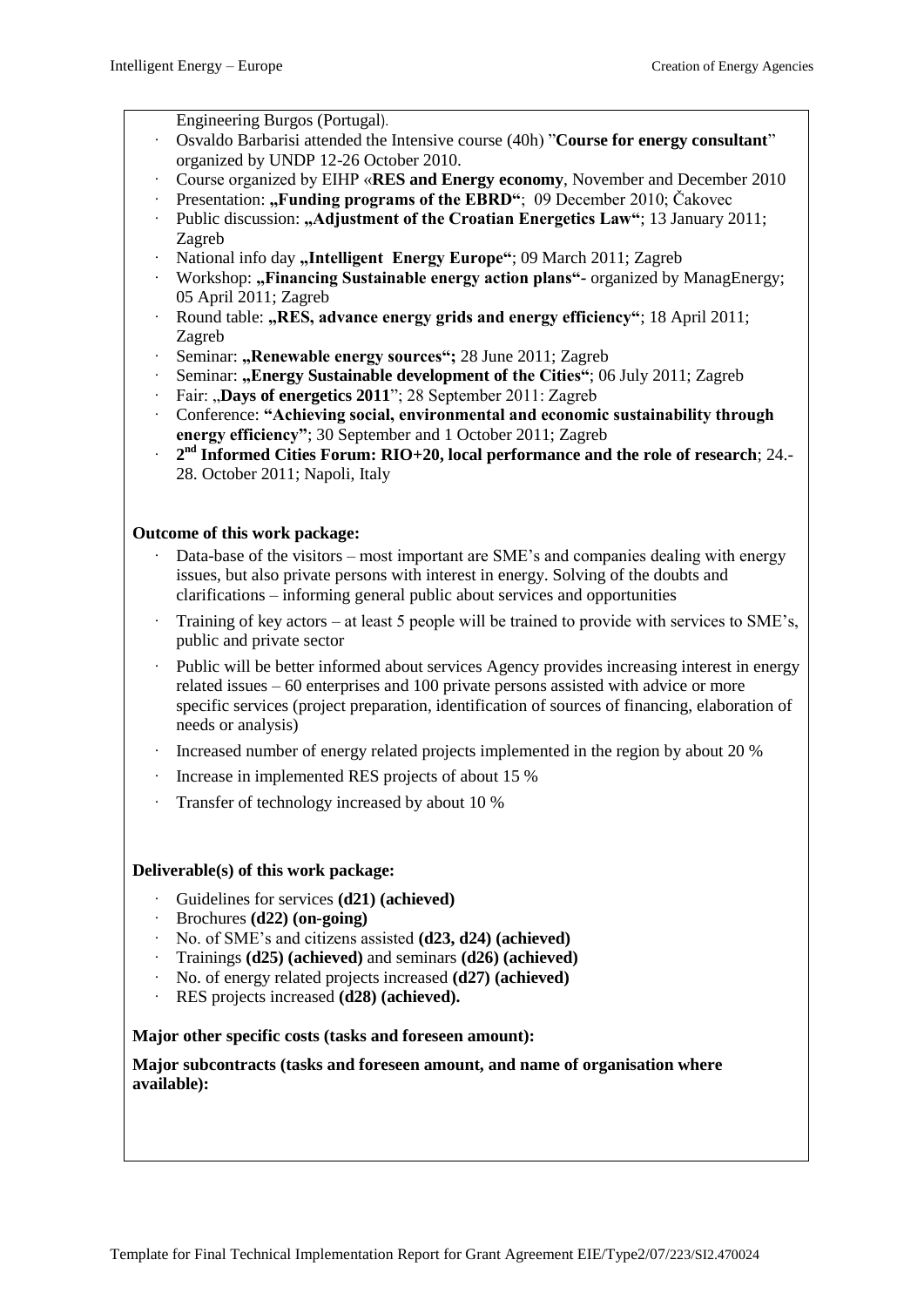Engineering Burgos (Portugal).

- · Osvaldo Barbarisi attended the Intensive course (40h) "**Course for energy consultant**" organized by UNDP 12-26 October 2010.
- · Course organized by EIHP «**RES and Energy economy**, November and December 2010
- Presentation: "Funding programs of the EBRD"; 09 December 2010; Čakovec
- Public discussion: "Adjustment of the Croatian Energetics Law"; 13 January 2011; Zagreb
- National info day "Intelligent Energy Europe"; 09 March 2011; Zagreb
- · Workshop: **"Financing Sustainable energy action plans"-** organized by ManagEnergy; 05 April 2011; Zagreb
- Round table: "RES, advance energy grids and energy efficiency"; 18 April 2011; Zagreb
- Seminar: "Renewable energy sources"; 28 June 2011; Zagreb
- Seminar: "Energy Sustainable development of the Cities"; 06 July 2011; Zagreb
- · Fair: "**Days of energetics 2011**"; 28 September 2011: Zagreb
- Conference: "Achieving social, environmental and economic sustainability through **energy efficiency"**; 30 September and 1 October 2011; Zagreb
- · **2 nd Informed Cities Forum: RIO+20, local performance and the role of research**; 24.- 28. October 2011; Napoli, Italy

## **Outcome of this work package:**

- Data-base of the visitors most important are SME's and companies dealing with energy issues, but also private persons with interest in energy. Solving of the doubts and clarifications – informing general public about services and opportunities
- Training of key actors at least 5 people will be trained to provide with services to SME's, public and private sector
- Public will be better informed about services Agency provides increasing interest in energy related issues – 60 enterprises and 100 private persons assisted with advice or more specific services (project preparation, identification of sources of financing, elaboration of needs or analysis)
- · Increased number of energy related projects implemented in the region by about 20 %
- Increase in implemented RES projects of about 15 %
- Transfer of technology increased by about 10 %

## **Deliverable(s) of this work package:**

- · Guidelines for services **(d21) (achieved)**
- · Brochures **(d22) (on-going)**
- · No. of SME's and citizens assisted **(d23, d24) (achieved)**
- · Trainings **(d25) (achieved)** and seminars **(d26) (achieved)**
- · No. of energy related projects increased **(d27) (achieved)**
- · RES projects increased **(d28) (achieved).**

## **Major other specific costs (tasks and foreseen amount):**

**Major subcontracts (tasks and foreseen amount, and name of organisation where available):**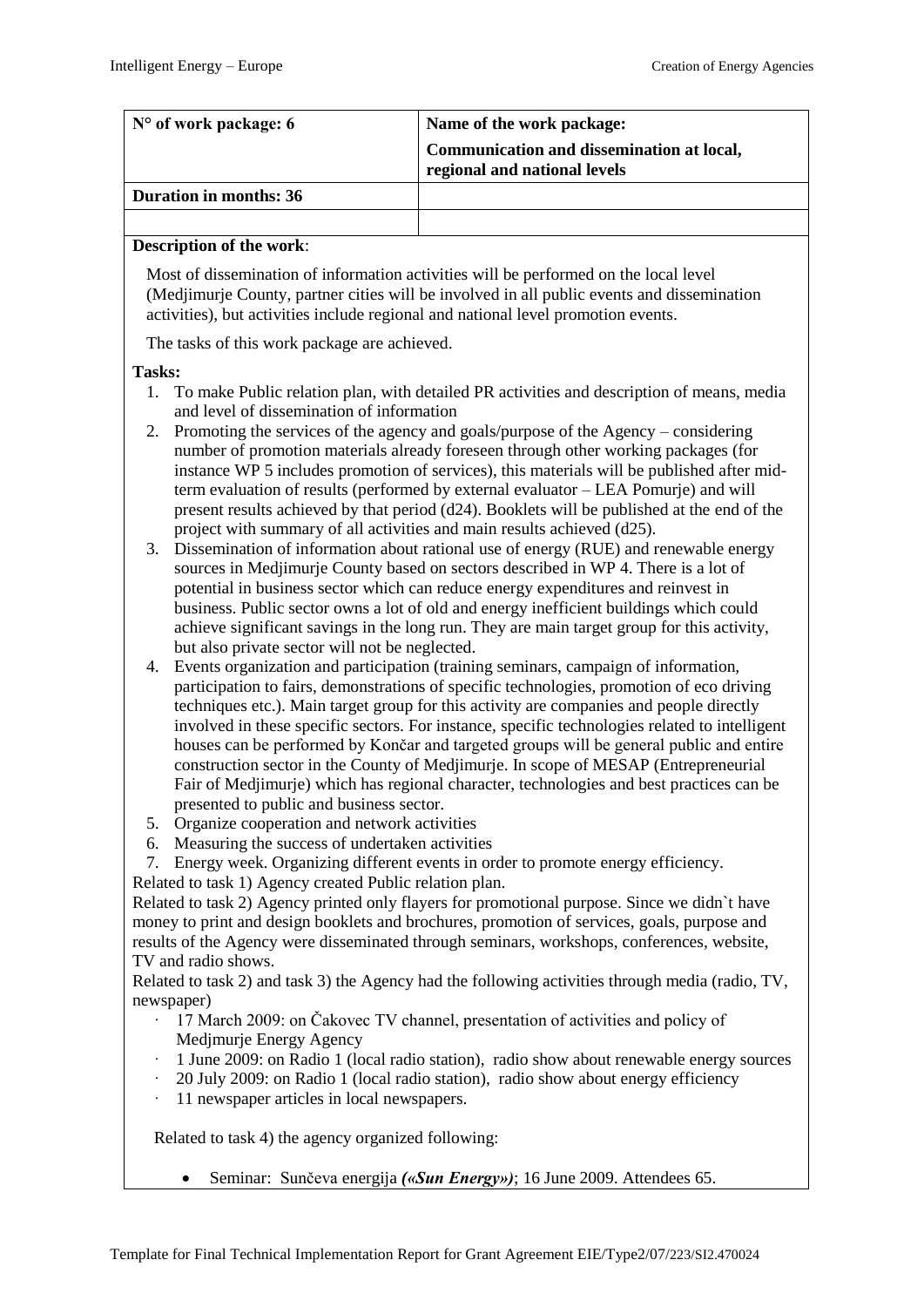| $\vert$ N° of work package: 6 | Name of the work package:                                                 |  |  |  |  |  |  |  |
|-------------------------------|---------------------------------------------------------------------------|--|--|--|--|--|--|--|
|                               | Communication and dissemination at local,<br>regional and national levels |  |  |  |  |  |  |  |
| Duration in months: 36        |                                                                           |  |  |  |  |  |  |  |
|                               |                                                                           |  |  |  |  |  |  |  |

#### **Description of the work**:

Most of dissemination of information activities will be performed on the local level (Medjimurje County, partner cities will be involved in all public events and dissemination activities), but activities include regional and national level promotion events.

The tasks of this work package are achieved.

## **Tasks:**

- 1. To make Public relation plan, with detailed PR activities and description of means, media and level of dissemination of information
- 2. Promoting the services of the agency and goals/purpose of the Agency considering number of promotion materials already foreseen through other working packages (for instance WP 5 includes promotion of services), this materials will be published after midterm evaluation of results (performed by external evaluator – LEA Pomurje) and will present results achieved by that period (d24). Booklets will be published at the end of the project with summary of all activities and main results achieved (d25).
- 3. Dissemination of information about rational use of energy (RUE) and renewable energy sources in Medjimurje County based on sectors described in WP 4. There is a lot of potential in business sector which can reduce energy expenditures and reinvest in business. Public sector owns a lot of old and energy inefficient buildings which could achieve significant savings in the long run. They are main target group for this activity, but also private sector will not be neglected.
- 4. Events organization and participation (training seminars, campaign of information, participation to fairs, demonstrations of specific technologies, promotion of eco driving techniques etc.). Main target group for this activity are companies and people directly involved in these specific sectors. For instance, specific technologies related to intelligent houses can be performed by Končar and targeted groups will be general public and entire construction sector in the County of Medjimurje. In scope of MESAP (Entrepreneurial Fair of Medjimurje) which has regional character, technologies and best practices can be presented to public and business sector.
- 5. Organize cooperation and network activities
- 6. Measuring the success of undertaken activities
- 7. Energy week. Organizing different events in order to promote energy efficiency.

Related to task 1) Agency created Public relation plan.

Related to task 2) Agency printed only flayers for promotional purpose. Since we didn`t have money to print and design booklets and brochures, promotion of services, goals, purpose and results of the Agency were disseminated through seminars, workshops, conferences, website, TV and radio shows.

Related to task 2) and task 3) the Agency had the following activities through media (radio, TV, newspaper)

- · 17 March 2009: on Čakovec TV channel, presentation of activities and policy of Medjmurje Energy Agency
- · 1 June 2009: on Radio 1 (local radio station), radio show about renewable energy sources
- · 20 July 2009: on Radio 1 (local radio station), radio show about energy efficiency
- · 11 newspaper articles in local newspapers.

Related to task 4) the agency organized following:

Seminar: Sunčeva energija *(«Sun Energy»)*; 16 June 2009. Attendees 65.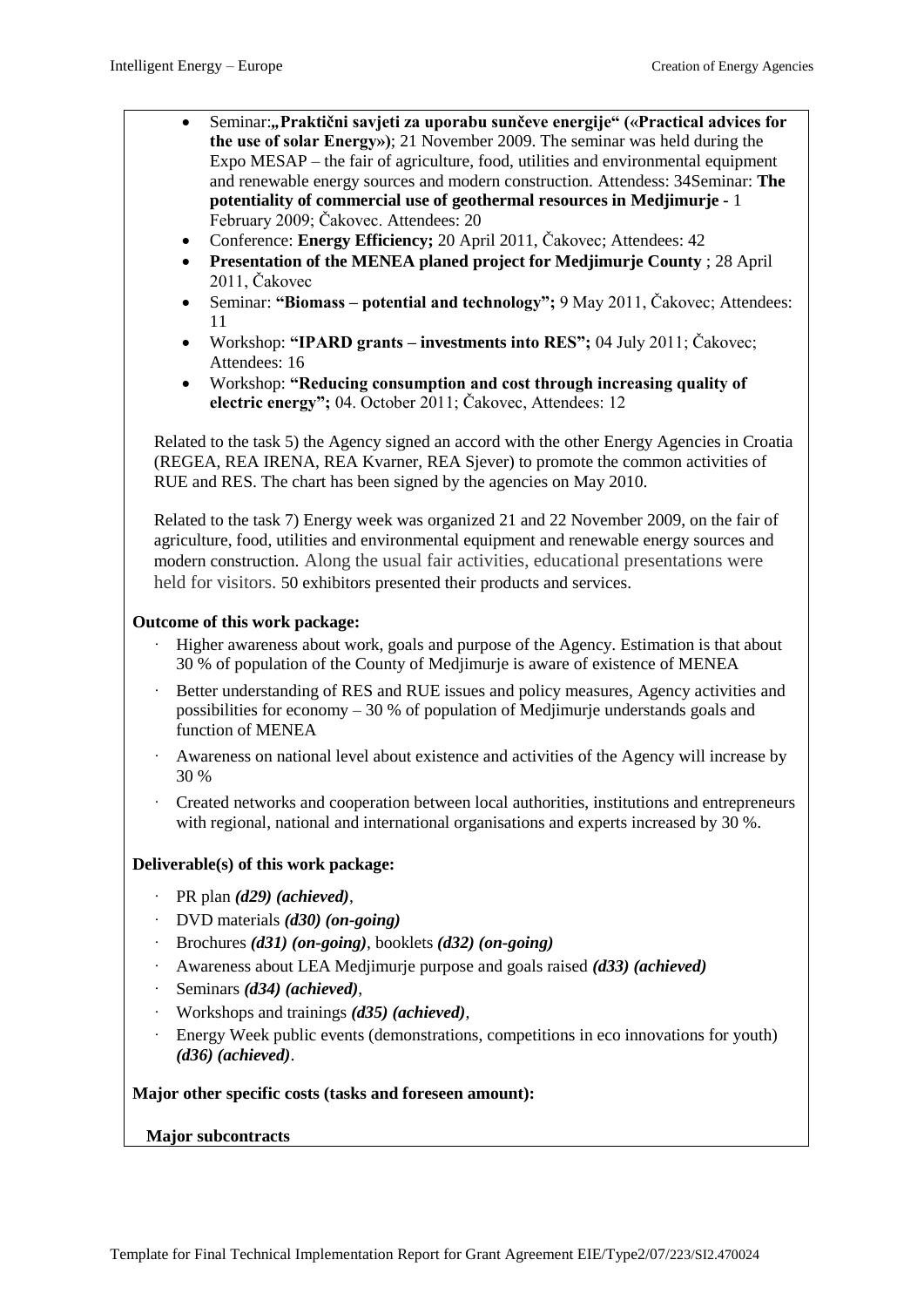- Seminar:*"***Praktični savjeti za uporabu sunčeve energije" («Practical advices for the use of solar Energy»)**; 21 November 2009. The seminar was held during the Expo MESAP – the fair of agriculture, food, utilities and environmental equipment and renewable energy sources and modern construction. Attendess: 34Seminar: **The potentiality of commercial use of geothermal resources in Medjimurje** *-* 1 February 2009; Čakovec. Attendees: 20
- Conference: **Energy Efficiency;** 20 April 2011, Čakovec; Attendees: 42
- **•** Presentation of the MENEA planed project for Medjimurje County ; 28 April 2011, Čakovec
- Seminar: **"Biomass – potential and technology";** 9 May 2011, Čakovec; Attendees: 11
- Workshop: **"IPARD grants – investments into RES";** 04 July 2011; Čakovec; Attendees: 16
- Workshop: **"Reducing consumption and cost through increasing quality of electric energy";** 04. October 2011; Čakovec, Attendees: 12

Related to the task 5) the Agency signed an accord with the other Energy Agencies in Croatia (REGEA, REA IRENA, REA Kvarner, REA Sjever) to promote the common activities of RUE and RES. The chart has been signed by the agencies on May 2010.

Related to the task 7) Energy week was organized 21 and 22 November 2009, on the fair of agriculture, food, utilities and environmental equipment and renewable energy sources and modern construction. Along the usual fair activities, educational presentations were held for visitors. 50 exhibitors presented their products and services.

# **Outcome of this work package:**

- Higher awareness about work, goals and purpose of the Agency. Estimation is that about 30 % of population of the County of Medjimurje is aware of existence of MENEA
- Better understanding of RES and RUE issues and policy measures, Agency activities and possibilities for economy – 30 % of population of Medjimurje understands goals and function of MENEA
- · Awareness on national level about existence and activities of the Agency will increase by 30 %
- · Created networks and cooperation between local authorities, institutions and entrepreneurs with regional, national and international organisations and experts increased by 30 %.

## **Deliverable(s) of this work package:**

- · PR plan *(d29) (achieved)*,
- · DVD materials *(d30) (on-going)*
- · Brochures *(d31) (on-going)*, booklets *(d32) (on-going)*
- · Awareness about LEA Medjimurje purpose and goals raised *(d33) (achieved)*
- · Seminars *(d34) (achieved)*,
- · Workshops and trainings *(d35) (achieved)*,
- Energy Week public events (demonstrations, competitions in eco innovations for youth) *(d36) (achieved)*.

# **Major other specific costs (tasks and foreseen amount):**

## **Major subcontracts**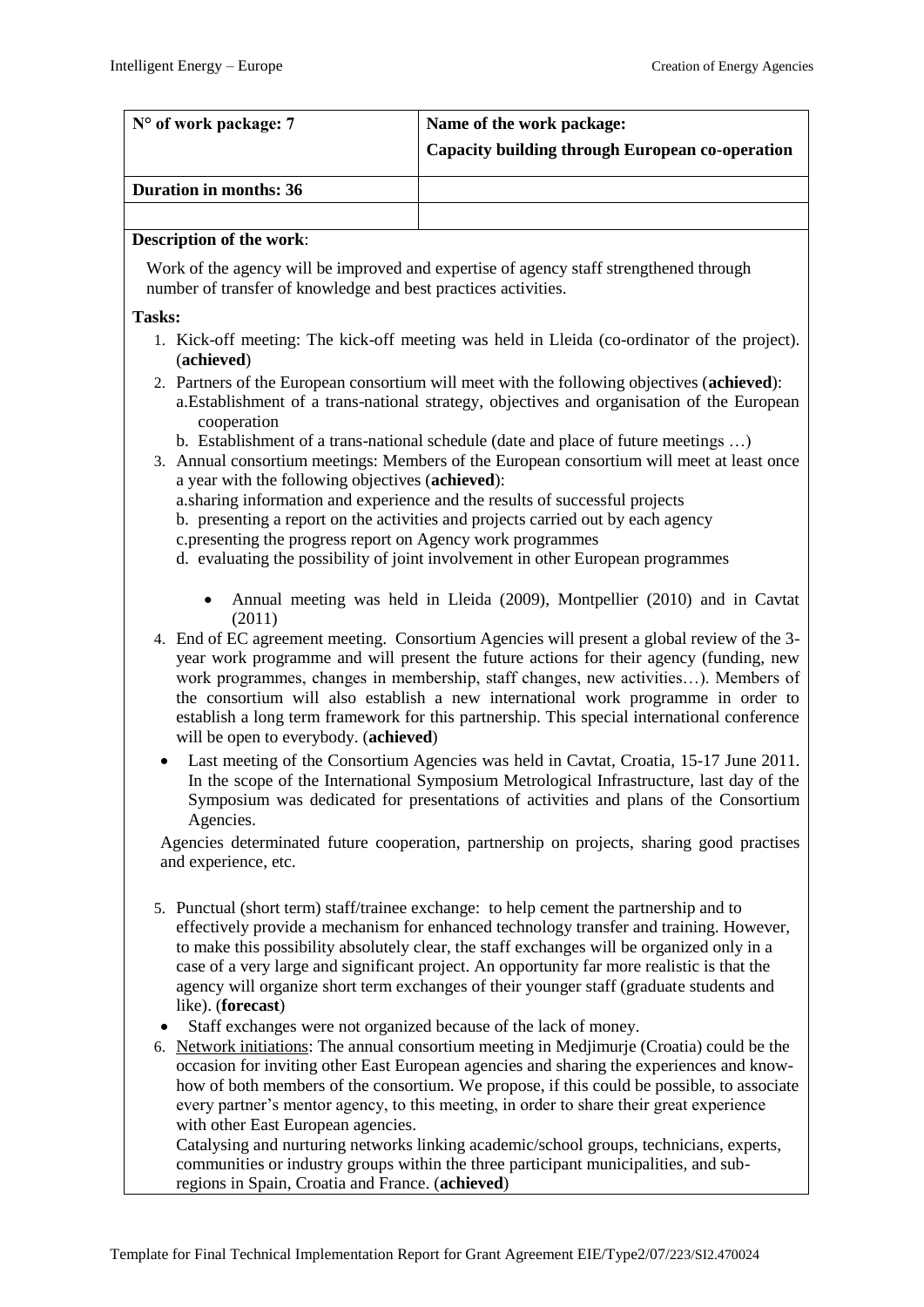| $\vert$ N° of work package: 7 | Name of the work package:<br>Capacity building through European co-operation |
|-------------------------------|------------------------------------------------------------------------------|
| Duration in months: 36        |                                                                              |
|                               |                                                                              |

## **Description of the work**:

Work of the agency will be improved and expertise of agency staff strengthened through number of transfer of knowledge and best practices activities.

# **Tasks:**

- 1. Kick-off meeting: The kick-off meeting was held in Lleida (co-ordinator of the project). (**achieved**)
- 2. Partners of the European consortium will meet with the following objectives (**achieved**): a.Establishment of a trans-national strategy, objectives and organisation of the European cooperation
	- b. Establishment of a trans-national schedule (date and place of future meetings …)
- 3. Annual consortium meetings: Members of the European consortium will meet at least once a year with the following objectives (**achieved**):
	- a.sharing information and experience and the results of successful projects
	- b. presenting a report on the activities and projects carried out by each agency
	- c.presenting the progress report on Agency work programmes
	- d. evaluating the possibility of joint involvement in other European programmes
		- Annual meeting was held in Lleida (2009), Montpellier (2010) and in Cavtat (2011)
- 4. End of EC agreement meeting. Consortium Agencies will present a global review of the 3 year work programme and will present the future actions for their agency (funding, new work programmes, changes in membership, staff changes, new activities…). Members of the consortium will also establish a new international work programme in order to establish a long term framework for this partnership. This special international conference will be open to everybody. (**achieved**)
- Last meeting of the Consortium Agencies was held in Cavtat, Croatia, 15-17 June 2011. In the scope of the International Symposium Metrological Infrastructure, last day of the Symposium was dedicated for presentations of activities and plans of the Consortium Agencies.

Agencies determinated future cooperation, partnership on projects, sharing good practises and experience, etc.

- 5. Punctual (short term) staff/trainee exchange: to help cement the partnership and to effectively provide a mechanism for enhanced technology transfer and training. However, to make this possibility absolutely clear, the staff exchanges will be organized only in a case of a very large and significant project. An opportunity far more realistic is that the agency will organize short term exchanges of their younger staff (graduate students and like). (**forecast**)
- Staff exchanges were not organized because of the lack of money.
- 6. Network initiations: The annual consortium meeting in Medjimurje (Croatia) could be the occasion for inviting other East European agencies and sharing the experiences and knowhow of both members of the consortium. We propose, if this could be possible, to associate every partner's mentor agency, to this meeting, in order to share their great experience with other East European agencies.

Catalysing and nurturing networks linking academic/school groups, technicians, experts, communities or industry groups within the three participant municipalities, and subregions in Spain, Croatia and France. (**achieved**)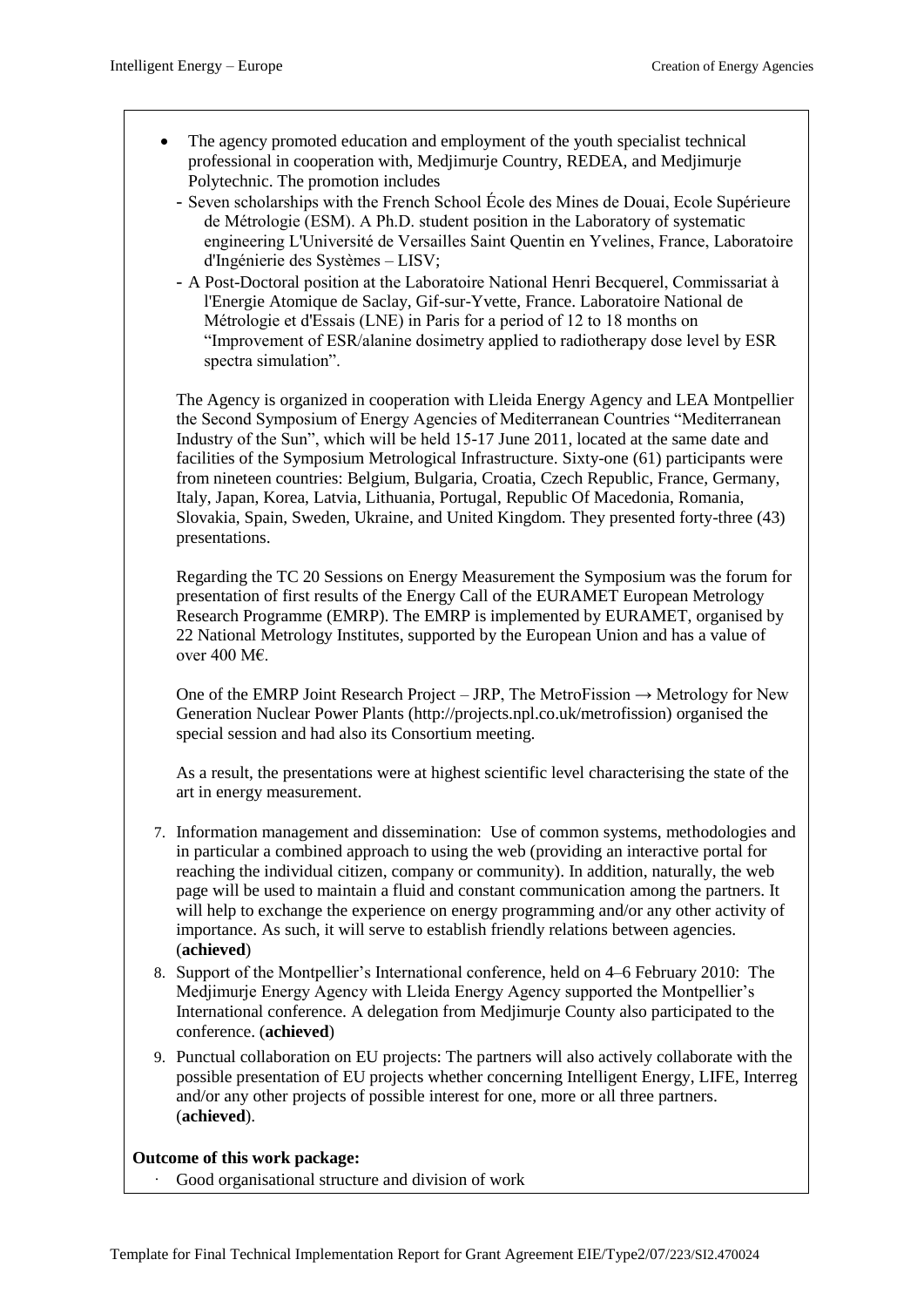- The agency promoted education and employment of the youth specialist technical professional in cooperation with, Medjimurje Country, REDEA, and Medjimurje Polytechnic. The promotion includes
	- Seven scholarships with the French School École des Mines de Douai, Ecole Supérieure de Métrologie (ESM). A Ph.D. student position in the Laboratory of systematic engineering L'Université de Versailles Saint Quentin en Yvelines, France, Laboratoire d'Ingénierie des Systèmes – LISV;
	- A Post-Doctoral position at the Laboratoire National Henri Becquerel, Commissariat à l'Energie Atomique de Saclay, Gif-sur-Yvette, France. Laboratoire National de Métrologie et d'Essais (LNE) in Paris for a period of 12 to 18 months on "Improvement of ESR/alanine dosimetry applied to radiotherapy dose level by ESR spectra simulation".

The Agency is organized in cooperation with Lleida Energy Agency and LEA Montpellier the Second Symposium of Energy Agencies of Mediterranean Countries "Mediterranean Industry of the Sun", which will be held 15-17 June 2011, located at the same date and facilities of the Symposium Metrological Infrastructure. Sixty-one (61) participants were from nineteen countries: Belgium, Bulgaria, Croatia, Czech Republic, France, Germany, Italy, Japan, Korea, Latvia, Lithuania, Portugal, Republic Of Macedonia, Romania, Slovakia, Spain, Sweden, Ukraine, and United Kingdom. They presented forty-three (43) presentations.

Regarding the TC 20 Sessions on Energy Measurement the Symposium was the forum for presentation of first results of the Energy Call of the EURAMET European Metrology Research Programme (EMRP). The EMRP is implemented by EURAMET, organised by 22 National Metrology Institutes, supported by the European Union and has a value of over 400 M€.

One of the EMRP Joint Research Project – JRP, The MetroFission  $\rightarrow$  Metrology for New Generation Nuclear Power Plants (http://projects.npl.co.uk/metrofission) organised the special session and had also its Consortium meeting.

As a result, the presentations were at highest scientific level characterising the state of the art in energy measurement.

- 7. Information management and dissemination: Use of common systems, methodologies and in particular a combined approach to using the web (providing an interactive portal for reaching the individual citizen, company or community). In addition, naturally, the web page will be used to maintain a fluid and constant communication among the partners. It will help to exchange the experience on energy programming and/or any other activity of importance. As such, it will serve to establish friendly relations between agencies. (**achieved**)
- 8. Support of the Montpellier's International conference, held on 4–6 February 2010: The Medjimurje Energy Agency with Lleida Energy Agency supported the Montpellier's International conference. A delegation from Medjimurje County also participated to the conference. (**achieved**)
- 9. Punctual collaboration on EU projects: The partners will also actively collaborate with the possible presentation of EU projects whether concerning Intelligent Energy, LIFE, Interreg and/or any other projects of possible interest for one, more or all three partners. (**achieved**).

# **Outcome of this work package:**

Good organisational structure and division of work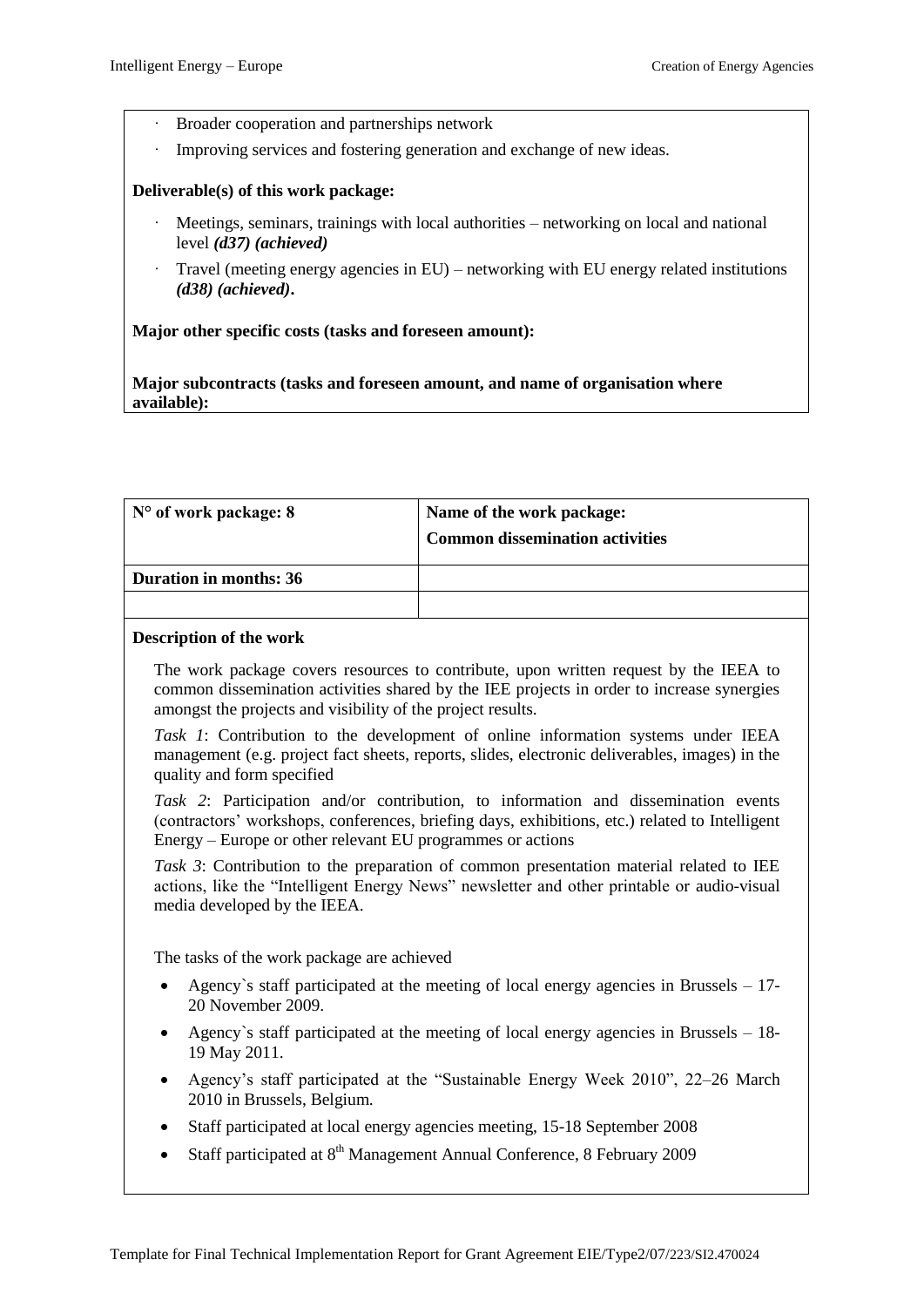- Broader cooperation and partnerships network
- Improving services and fostering generation and exchange of new ideas.

#### **Deliverable(s) of this work package:**

- Meetings, seminars, trainings with local authorities networking on local and national level *(d37) (achieved)*
- · Travel (meeting energy agencies in EU) networking with EU energy related institutions *(d38) (achieved)***.**

**Major other specific costs (tasks and foreseen amount):**

**Major subcontracts (tasks and foreseen amount, and name of organisation where available):**

| $No$ of work package: 8       | Name of the work package:<br><b>Common dissemination activities</b> |
|-------------------------------|---------------------------------------------------------------------|
| <b>Duration in months: 36</b> |                                                                     |
|                               |                                                                     |

#### **Description of the work**

The work package covers resources to contribute, upon written request by the IEEA to common dissemination activities shared by the IEE projects in order to increase synergies amongst the projects and visibility of the project results.

*Task 1*: Contribution to the development of online information systems under IEEA management (e.g. project fact sheets, reports, slides, electronic deliverables, images) in the quality and form specified

*Task 2*: Participation and/or contribution, to information and dissemination events (contractors' workshops, conferences, briefing days, exhibitions, etc.) related to Intelligent Energy – Europe or other relevant EU programmes or actions

*Task 3*: Contribution to the preparation of common presentation material related to IEE actions, like the "Intelligent Energy News" newsletter and other printable or audio-visual media developed by the IEEA.

The tasks of the work package are achieved

- Agency`s staff participated at the meeting of local energy agencies in Brussels 17- 20 November 2009.
- Agency`s staff participated at the meeting of local energy agencies in Brussels 18- 19 May 2011.
- Agency's staff participated at the "Sustainable Energy Week 2010", 22–26 March 2010 in Brussels, Belgium.
- Staff participated at local energy agencies meeting, 15-18 September 2008
- Staff participated at 8<sup>th</sup> Management Annual Conference, 8 February 2009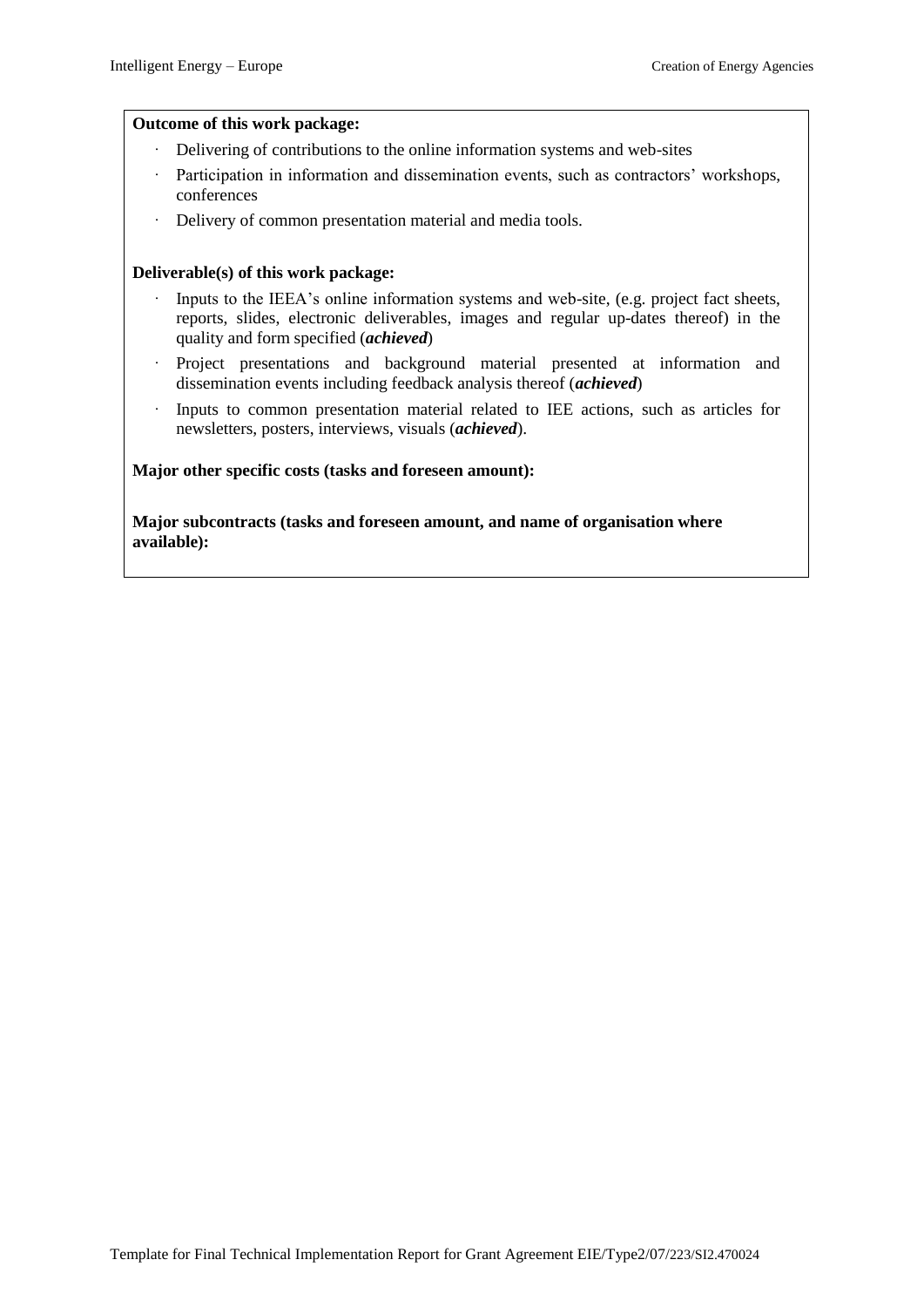#### **Outcome of this work package:**

- Delivering of contributions to the online information systems and web-sites
- Participation in information and dissemination events, such as contractors' workshops, conferences
- · Delivery of common presentation material and media tools.

#### **Deliverable(s) of this work package:**

- Inputs to the IEEA's online information systems and web-site, (e.g. project fact sheets, reports, slides, electronic deliverables, images and regular up-dates thereof) in the quality and form specified (*achieved*)
- Project presentations and background material presented at information and dissemination events including feedback analysis thereof (*achieved*)
- · Inputs to common presentation material related to IEE actions, such as articles for newsletters, posters, interviews, visuals (*achieved*).

#### **Major other specific costs (tasks and foreseen amount):**

**Major subcontracts (tasks and foreseen amount, and name of organisation where available):**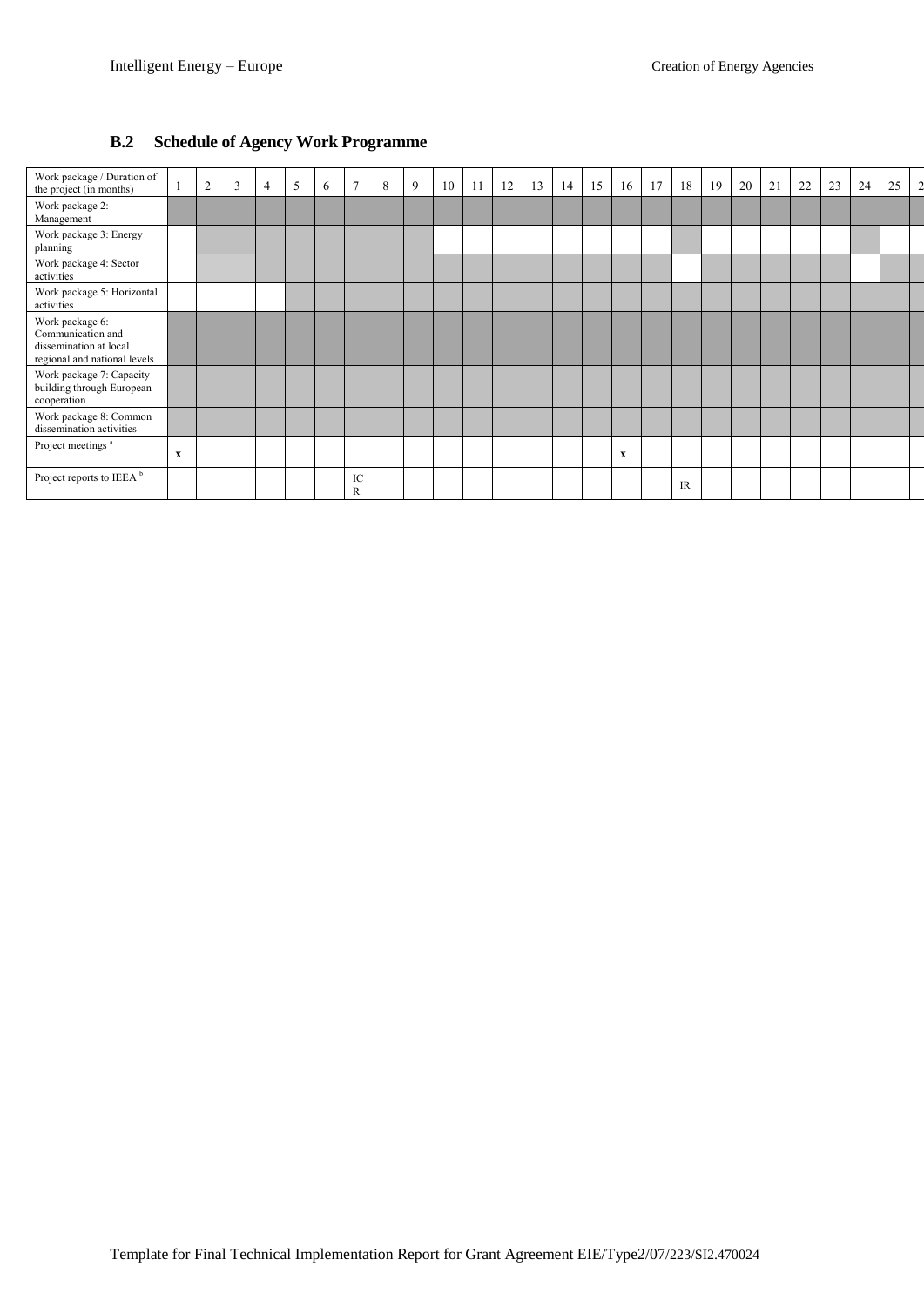# **B.2 Schedule of Agency Work Programme**

| Work package / Duration of<br>the project (in months)                                          |   | $\bigcap$ | $\overline{3}$ | 5 | 6 | $\mathbf{r}$    | 8 | 9 | 10 | 11 | 12 | 13 | 14 | 15 | 16          | 17 | 18 | 19 | 20 | 21 | 22 | 23 | 24 | 25 |  |
|------------------------------------------------------------------------------------------------|---|-----------|----------------|---|---|-----------------|---|---|----|----|----|----|----|----|-------------|----|----|----|----|----|----|----|----|----|--|
| Work package 2:<br>Management                                                                  |   |           |                |   |   |                 |   |   |    |    |    |    |    |    |             |    |    |    |    |    |    |    |    |    |  |
| Work package 3: Energy<br>planning                                                             |   |           |                |   |   |                 |   |   |    |    |    |    |    |    |             |    |    |    |    |    |    |    |    |    |  |
| Work package 4: Sector<br>activities                                                           |   |           |                |   |   |                 |   |   |    |    |    |    |    |    |             |    |    |    |    |    |    |    |    |    |  |
| Work package 5: Horizontal<br>activities                                                       |   |           |                |   |   |                 |   |   |    |    |    |    |    |    |             |    |    |    |    |    |    |    |    |    |  |
| Work package 6:<br>Communication and<br>dissemination at local<br>regional and national levels |   |           |                |   |   |                 |   |   |    |    |    |    |    |    |             |    |    |    |    |    |    |    |    |    |  |
| Work package 7: Capacity<br>building through European<br>cooperation                           |   |           |                |   |   |                 |   |   |    |    |    |    |    |    |             |    |    |    |    |    |    |    |    |    |  |
| Work package 8: Common<br>dissemination activities                                             |   |           |                |   |   |                 |   |   |    |    |    |    |    |    |             |    |    |    |    |    |    |    |    |    |  |
| Project meetings <sup>a</sup>                                                                  | x |           |                |   |   |                 |   |   |    |    |    |    |    |    | $\mathbf x$ |    |    |    |    |    |    |    |    |    |  |
| Project reports to IEEA <sup>b</sup>                                                           |   |           |                |   |   | ${\rm IC}$<br>R |   |   |    |    |    |    |    |    |             |    | IR |    |    |    |    |    |    |    |  |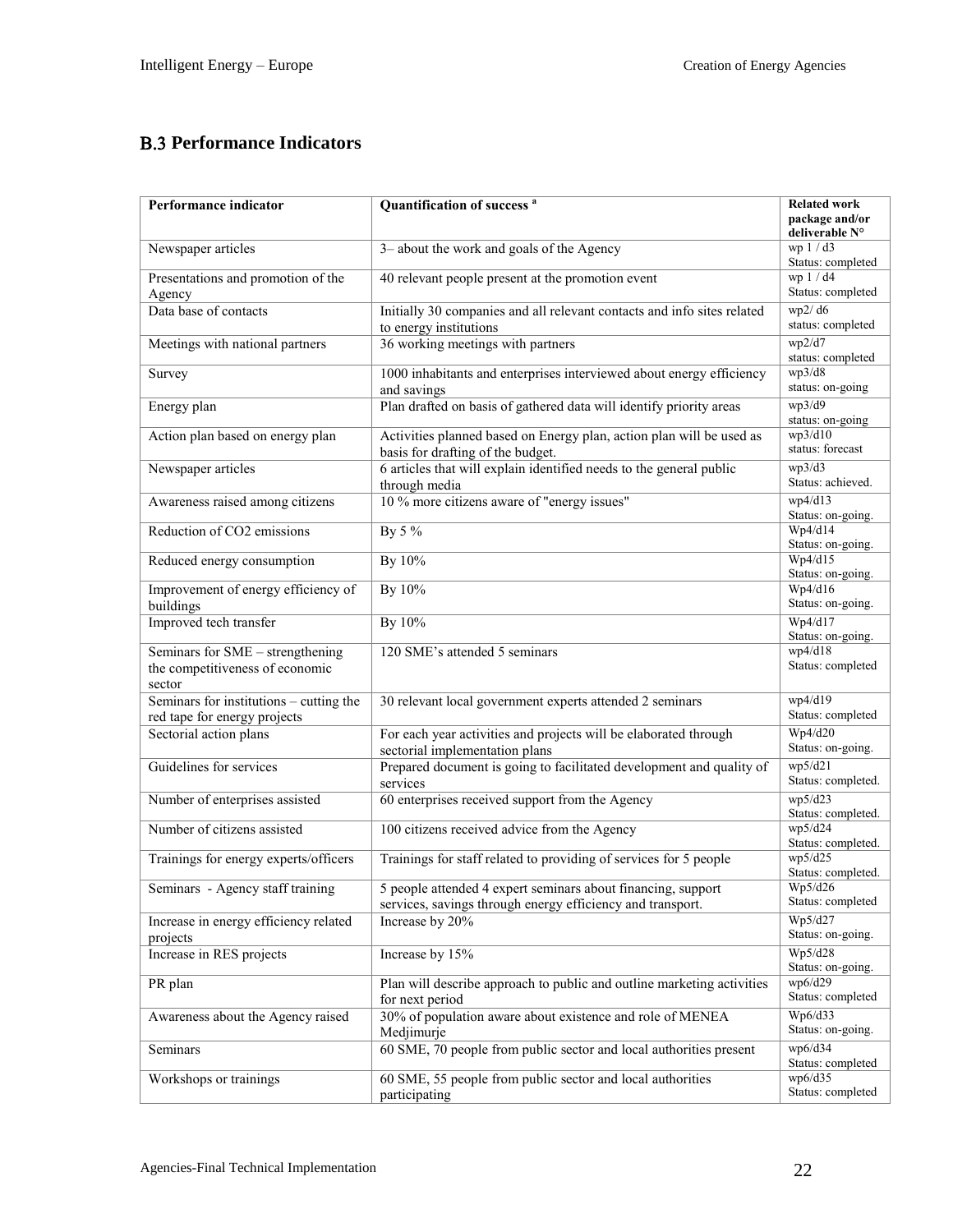# **B.3 Performance Indicators**

| Performance indicator                                                         | Quantification of success <sup>a</sup>                                                                                     | <b>Related work</b><br>package and/or<br>deliverable N° |
|-------------------------------------------------------------------------------|----------------------------------------------------------------------------------------------------------------------------|---------------------------------------------------------|
| Newspaper articles                                                            | 3- about the work and goals of the Agency                                                                                  | wp $1/d3$<br>Status: completed                          |
| Presentations and promotion of the<br>Agency                                  | 40 relevant people present at the promotion event                                                                          | wp $1/d4$<br>Status: completed                          |
| Data base of contacts                                                         | Initially 30 companies and all relevant contacts and info sites related<br>to energy institutions                          | wp2/d6<br>status: completed                             |
| Meetings with national partners                                               | 36 working meetings with partners                                                                                          | wp2/d7<br>status: completed                             |
| Survey                                                                        | 1000 inhabitants and enterprises interviewed about energy efficiency<br>and savings                                        | wp3/d8<br>status: on-going                              |
| Energy plan                                                                   | Plan drafted on basis of gathered data will identify priority areas                                                        | wp3/d9<br>status: on-going                              |
| Action plan based on energy plan                                              | Activities planned based on Energy plan, action plan will be used as<br>basis for drafting of the budget.                  | wp3/d10<br>status: forecast                             |
| Newspaper articles                                                            | 6 articles that will explain identified needs to the general public<br>through media                                       | wp3/d3<br>Status: achieved.                             |
| Awareness raised among citizens                                               | 10 % more citizens aware of "energy issues"                                                                                | wp4/d13<br>Status: on-going.                            |
| Reduction of CO2 emissions                                                    | By 5 %                                                                                                                     | Wp4/d14<br>Status: on-going.                            |
| Reduced energy consumption                                                    | By 10%                                                                                                                     | Wp4/d15<br>Status: on-going.                            |
| Improvement of energy efficiency of<br>buildings                              | By 10%                                                                                                                     | Wp4/d16<br>Status: on-going.                            |
| Improved tech transfer                                                        | By 10%                                                                                                                     | Wp4/d17<br>Status: on-going.                            |
| Seminars for SME - strengthening<br>the competitiveness of economic<br>sector | 120 SME's attended 5 seminars                                                                                              | wp4/d18<br>Status: completed                            |
| Seminars for institutions – cutting the<br>red tape for energy projects       | 30 relevant local government experts attended 2 seminars                                                                   | wp4/d19<br>Status: completed                            |
| Sectorial action plans                                                        | For each year activities and projects will be elaborated through<br>sectorial implementation plans                         | Wp4/d20<br>Status: on-going.                            |
| Guidelines for services                                                       | Prepared document is going to facilitated development and quality of<br>services                                           | wp5/d21<br>Status: completed.                           |
| Number of enterprises assisted                                                | 60 enterprises received support from the Agency                                                                            | wp5/d23<br>Status: completed.                           |
| Number of citizens assisted                                                   | 100 citizens received advice from the Agency                                                                               | wp5/d24<br>Status: completed.                           |
| Trainings for energy experts/officers                                         | Trainings for staff related to providing of services for 5 people                                                          | wp5/d25<br>Status: completed.                           |
| Seminars - Agency staff training                                              | 5 people attended 4 expert seminars about financing, support<br>services, savings through energy efficiency and transport. | Wp5/d26<br>Status: completed                            |
| Increase in energy efficiency related<br>projects                             | Increase by 20%                                                                                                            | Wp5/d27<br>Status: on-going.                            |
| Increase in RES projects                                                      | Increase by 15%                                                                                                            | Wp5/d28<br>Status: on-going.                            |
| PR plan                                                                       | Plan will describe approach to public and outline marketing activities<br>for next period                                  | wp6/d29<br>Status: completed                            |
| Awareness about the Agency raised                                             | 30% of population aware about existence and role of MENEA<br>Medjimurje                                                    | Wp6/d33<br>Status: on-going.                            |
| Seminars                                                                      | 60 SME, 70 people from public sector and local authorities present                                                         | wp6/d34<br>Status: completed                            |
| Workshops or trainings                                                        | 60 SME, 55 people from public sector and local authorities<br>participating                                                | wp6/d35<br>Status: completed                            |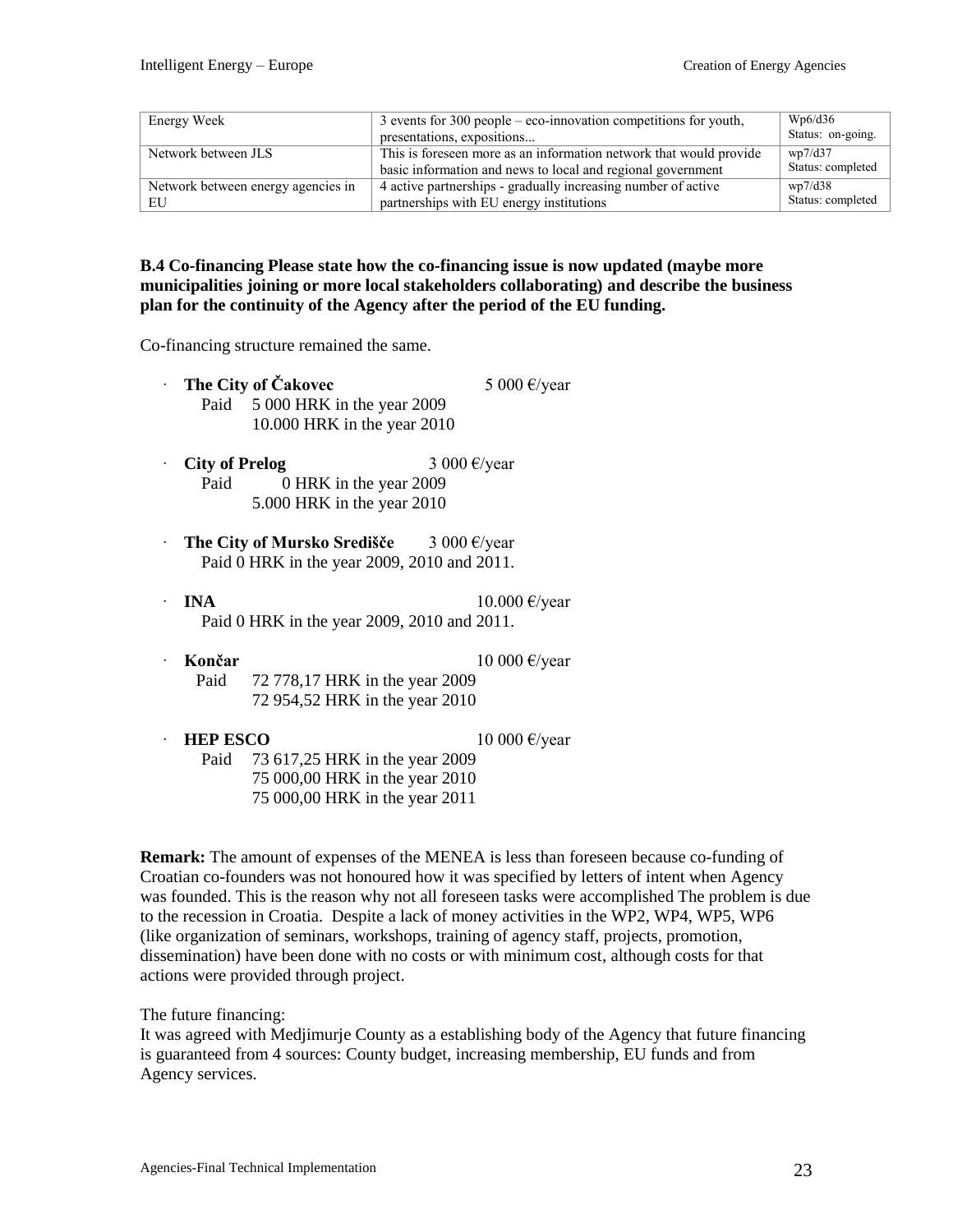| Energy Week                        | 3 events for 300 people – eco-innovation competitions for youth,   | Wp6/d36           |
|------------------------------------|--------------------------------------------------------------------|-------------------|
|                                    | presentations, expositions                                         | Status: on-going. |
| Network between JLS                | This is foreseen more as an information network that would provide | wp7/d37           |
|                                    | basic information and news to local and regional government        | Status: completed |
| Network between energy agencies in | 4 active partnerships - gradually increasing number of active      | wp7/d38           |
| EU                                 | partnerships with EU energy institutions                           | Status: completed |

## **B.4 Co-financing Please state how the co-financing issue is now updated (maybe more municipalities joining or more local stakeholders collaborating) and describe the business plan for the continuity of the Agency after the period of the EU funding.**

Co-financing structure remained the same.

**The City of Čakovec** 5 000 €/year Paid 5 000 HRK in the year 2009 10.000 HRK in the year 2010 · **City of Prelog** 3 000 €/year Paid 0 HRK in the year 2009 5.000 HRK in the year 2010 · **The City of Mursko Središče** 3 000 €/year Paid 0 HRK in the year 2009, 2010 and 2011.  $\cdot$  **INA** 10.000 €/year Paid 0 HRK in the year 2009, 2010 and 2011. · **Končar** 10 000 €/year Paid 72 778,17 HRK in the year 2009 72 954,52 HRK in the year 2010 **HEP ESCO** 10 000  $\epsilon$ /year Paid 73 617,25 HRK in the year 2009 75 000,00 HRK in the year 2010

75 000,00 HRK in the year 2011

**Remark:** The amount of expenses of the MENEA is less than foreseen because co-funding of Croatian co-founders was not honoured how it was specified by letters of intent when Agency was founded. This is the reason why not all foreseen tasks were accomplished The problem is due to the recession in Croatia. Despite a lack of money activities in the WP2, WP4, WP5, WP6 (like organization of seminars, workshops, training of agency staff, projects, promotion, dissemination) have been done with no costs or with minimum cost, although costs for that actions were provided through project.

The future financing:

It was agreed with Medjimurje County as a establishing body of the Agency that future financing is guaranteed from 4 sources: County budget, increasing membership, EU funds and from Agency services.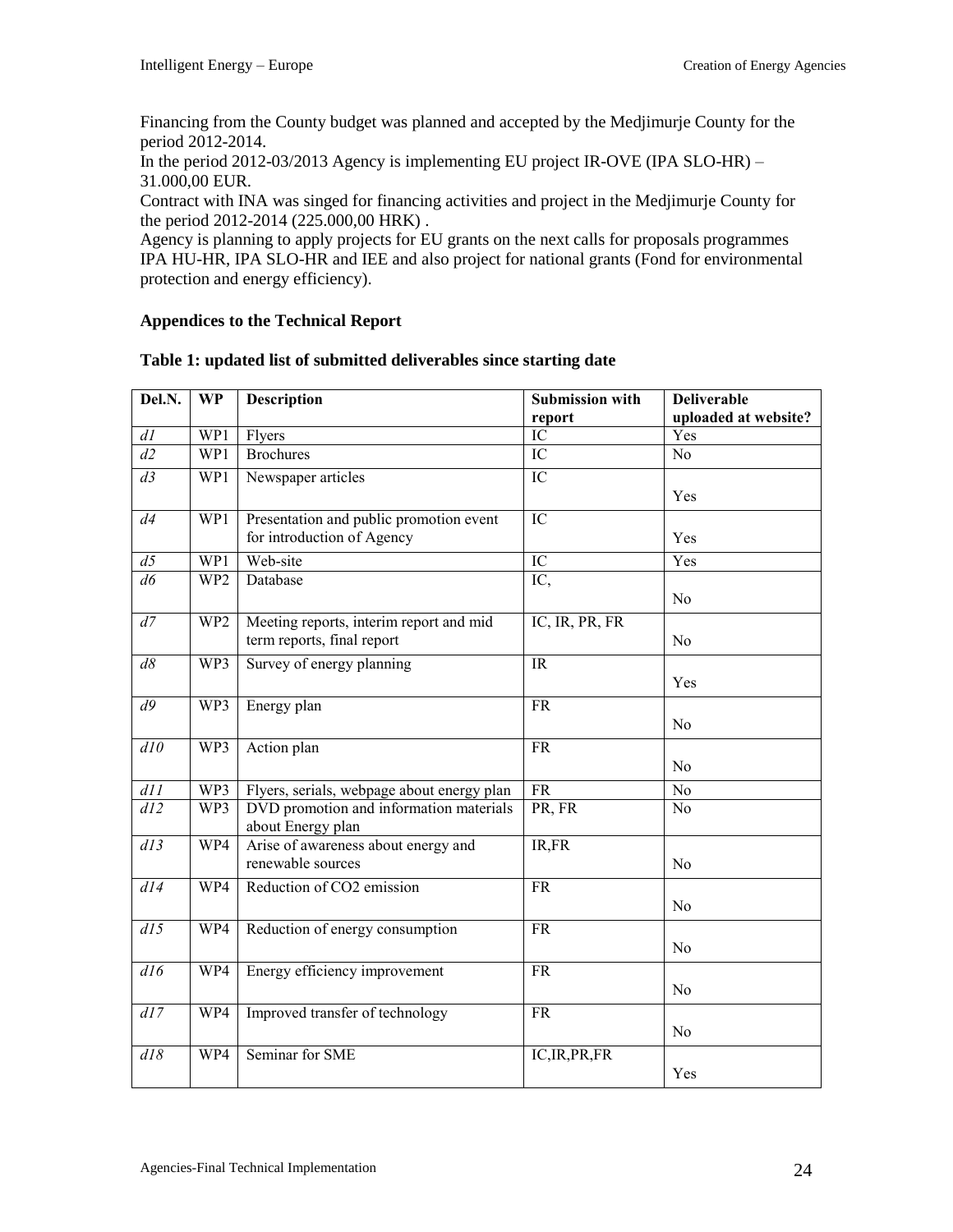Financing from the County budget was planned and accepted by the Medjimurje County for the period 2012-2014.

In the period 2012-03/2013 Agency is implementing EU project IR-OVE (IPA SLO-HR) – 31.000,00 EUR.

Contract with INA was singed for financing activities and project in the Medjimurje County for the period 2012-2014 (225.000,00 HRK) .

Agency is planning to apply projects for EU grants on the next calls for proposals programmes IPA HU-HR, IPA SLO-HR and IEE and also project for national grants (Fond for environmental protection and energy efficiency).

# **Appendices to the Technical Report**

#### **Table 1: updated list of submitted deliverables since starting date**

| Del.N.          | <b>WP</b>       | <b>Description</b>                                       | <b>Submission with</b> | <b>Deliverable</b>   |
|-----------------|-----------------|----------------------------------------------------------|------------------------|----------------------|
|                 |                 |                                                          | report                 | uploaded at website? |
| $\overline{dl}$ | WP1             | Flyers                                                   | IC                     | Yes                  |
| $\overline{d}$  | WPI             | <b>Brochures</b>                                         | $\overline{\text{IC}}$ | $\overline{No}$      |
| d3              | WPI             | Newspaper articles                                       | $\overline{IC}$        |                      |
|                 |                 |                                                          |                        | Yes                  |
| $\overline{d4}$ | WP1             | Presentation and public promotion event                  | IC                     |                      |
|                 |                 | for introduction of Agency                               |                        | Yes                  |
| $\overline{d5}$ | WP <sub>1</sub> | Web-site                                                 | IC                     | Yes                  |
| d6              | WP <sub>2</sub> | Database                                                 | IC,                    |                      |
|                 |                 |                                                          |                        | N <sub>0</sub>       |
| d7              | WP <sub>2</sub> | Meeting reports, interim report and mid                  | IC, IR, PR, FR         |                      |
|                 |                 | term reports, final report                               |                        | N <sub>o</sub>       |
| $\overline{d8}$ | WP3             | Survey of energy planning                                | IR                     |                      |
|                 |                 |                                                          |                        | Yes                  |
| d9              | WP3             | Energy plan                                              | <b>FR</b>              |                      |
|                 |                 |                                                          |                        | N <sub>0</sub>       |
| d10             | WP3             | Action plan                                              | <b>FR</b>              |                      |
|                 |                 |                                                          |                        | N <sub>o</sub>       |
| d11             | WP3             | Flyers, serials, webpage about energy plan               | <b>FR</b>              | N <sub>o</sub>       |
| d12             | WP3             | DVD promotion and information materials                  | PR, FR                 | N <sub>0</sub>       |
|                 |                 | about Energy plan                                        |                        |                      |
| d13             | WP4             | Arise of awareness about energy and<br>renewable sources | IR,FR                  | No                   |
|                 |                 |                                                          |                        |                      |
| d14             | WP4             | Reduction of CO2 emission                                | <b>FR</b>              |                      |
|                 |                 |                                                          |                        | N <sub>0</sub>       |
| dl5             | WP4             | Reduction of energy consumption                          | <b>FR</b>              |                      |
|                 |                 |                                                          |                        | N <sub>0</sub>       |
| dl6             | WP4             | Energy efficiency improvement                            | <b>FR</b>              |                      |
|                 |                 |                                                          |                        | N <sub>o</sub>       |
| d17             | WP4             | Improved transfer of technology                          | <b>FR</b>              |                      |
|                 |                 |                                                          |                        | N <sub>0</sub>       |
| d18             | WP4             | Seminar for SME                                          | IC, IR, PR, FR         |                      |
|                 |                 |                                                          |                        | Yes                  |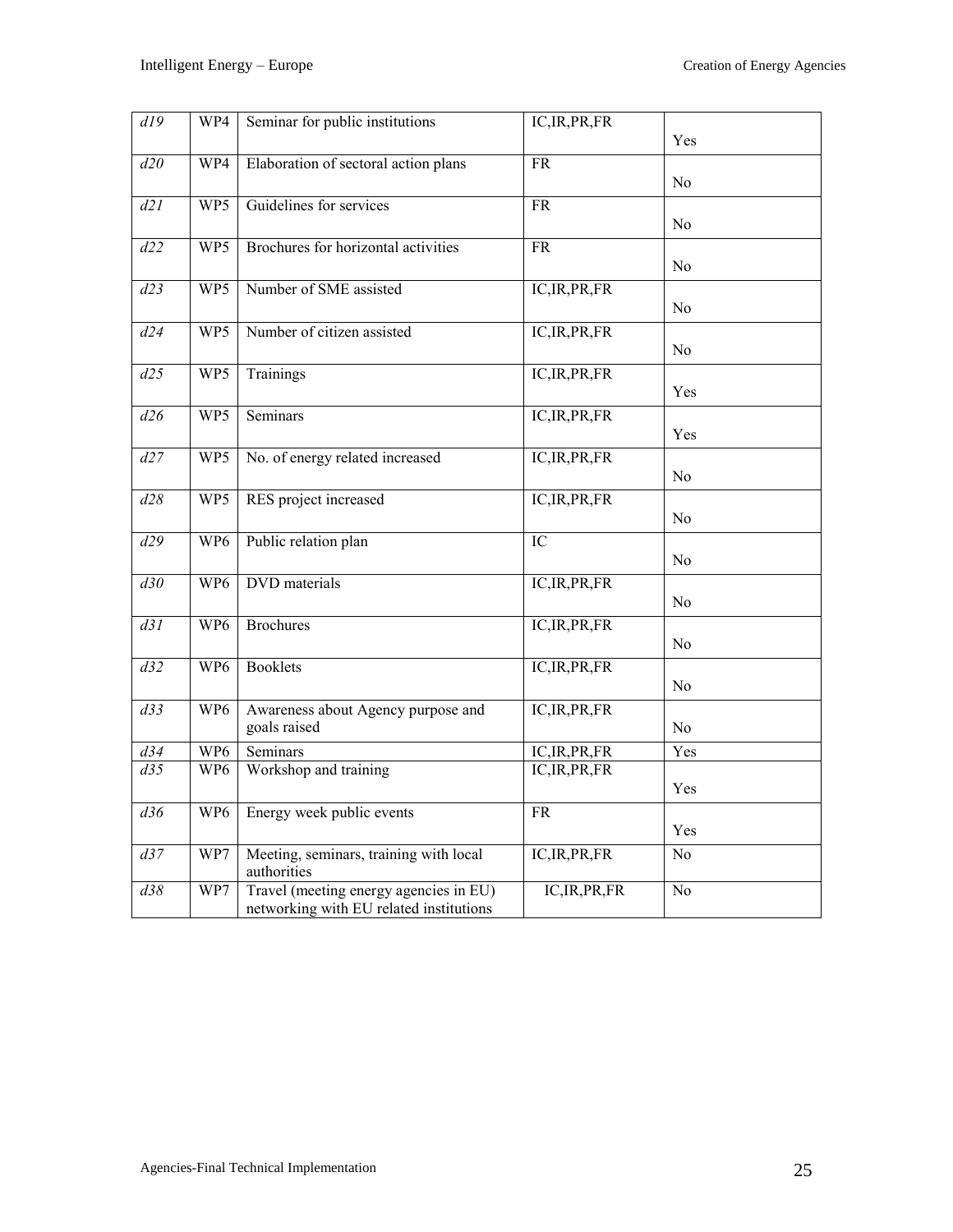| dl9              | WP4             | Seminar for public institutions         | IC, IR, PR, FR         | Yes             |
|------------------|-----------------|-----------------------------------------|------------------------|-----------------|
| $\overline{d20}$ | WP4             | Elaboration of sectoral action plans    | $\overline{\text{FR}}$ |                 |
|                  |                 |                                         |                        | N <sub>0</sub>  |
| d21              | WP5             | Guidelines for services                 | FR                     |                 |
|                  |                 |                                         |                        | No              |
| d22              | WP5             | Brochures for horizontal activities     | FR                     |                 |
|                  |                 |                                         |                        | No              |
| $\overline{d23}$ | WP5             | Number of SME assisted                  | IC, IR, PR, FR         |                 |
|                  |                 |                                         |                        | N <sub>0</sub>  |
| d24              | WP5             | Number of citizen assisted              | IC, IR, PR, FR         |                 |
|                  |                 |                                         |                        | N <sub>0</sub>  |
| d25              | WP5             | Trainings                               | IC, IR, PR, FR         |                 |
|                  |                 |                                         |                        | Yes             |
| d26              | WP5             | Seminars                                | IC, IR, PR, FR         |                 |
|                  |                 |                                         |                        | Yes             |
| d27              | WP5             | No. of energy related increased         | IC, IR, PR, FR         |                 |
|                  |                 |                                         |                        | No              |
| d28              | WP5             | RES project increased                   | IC, IR, PR, FR         |                 |
|                  |                 |                                         |                        | No              |
| d29              | WP <sub>6</sub> | Public relation plan                    | $\overline{IC}$        |                 |
|                  |                 |                                         |                        | No              |
| d30              | WP <sub>6</sub> | <b>DVD</b> materials                    | IC, IR, PR, FR         |                 |
|                  |                 |                                         |                        | No              |
| d3I              | WP <sub>6</sub> | <b>Brochures</b>                        | IC, IR, PR, FR         |                 |
|                  |                 |                                         |                        | No              |
| d32              | WP <sub>6</sub> | <b>Booklets</b>                         | IC, IR, PR, FR         |                 |
|                  |                 |                                         |                        | No              |
| d33              | WP <sub>6</sub> | Awareness about Agency purpose and      | IC, IR, PR, FR         |                 |
|                  |                 | goals raised                            |                        | No              |
| d34              | WP <sub>6</sub> | Seminars                                | IC, IR, PR, FR         | Yes             |
| d35              | WP <sub>6</sub> | Workshop and training                   | IC, IR, PR, FR         |                 |
|                  |                 |                                         |                        | Yes             |
| d36              | WP <sub>6</sub> | Energy week public events               | <b>FR</b>              |                 |
|                  |                 |                                         |                        | Yes             |
| $\overline{d37}$ | WP7             | Meeting, seminars, training with local  | IC, IR, PR, FR         | N <sub>o</sub>  |
|                  |                 | authorities                             |                        |                 |
| d38              | WP7             | Travel (meeting energy agencies in EU)  | IC, IR, PR, FR         | $\overline{No}$ |
|                  |                 | networking with EU related institutions |                        |                 |